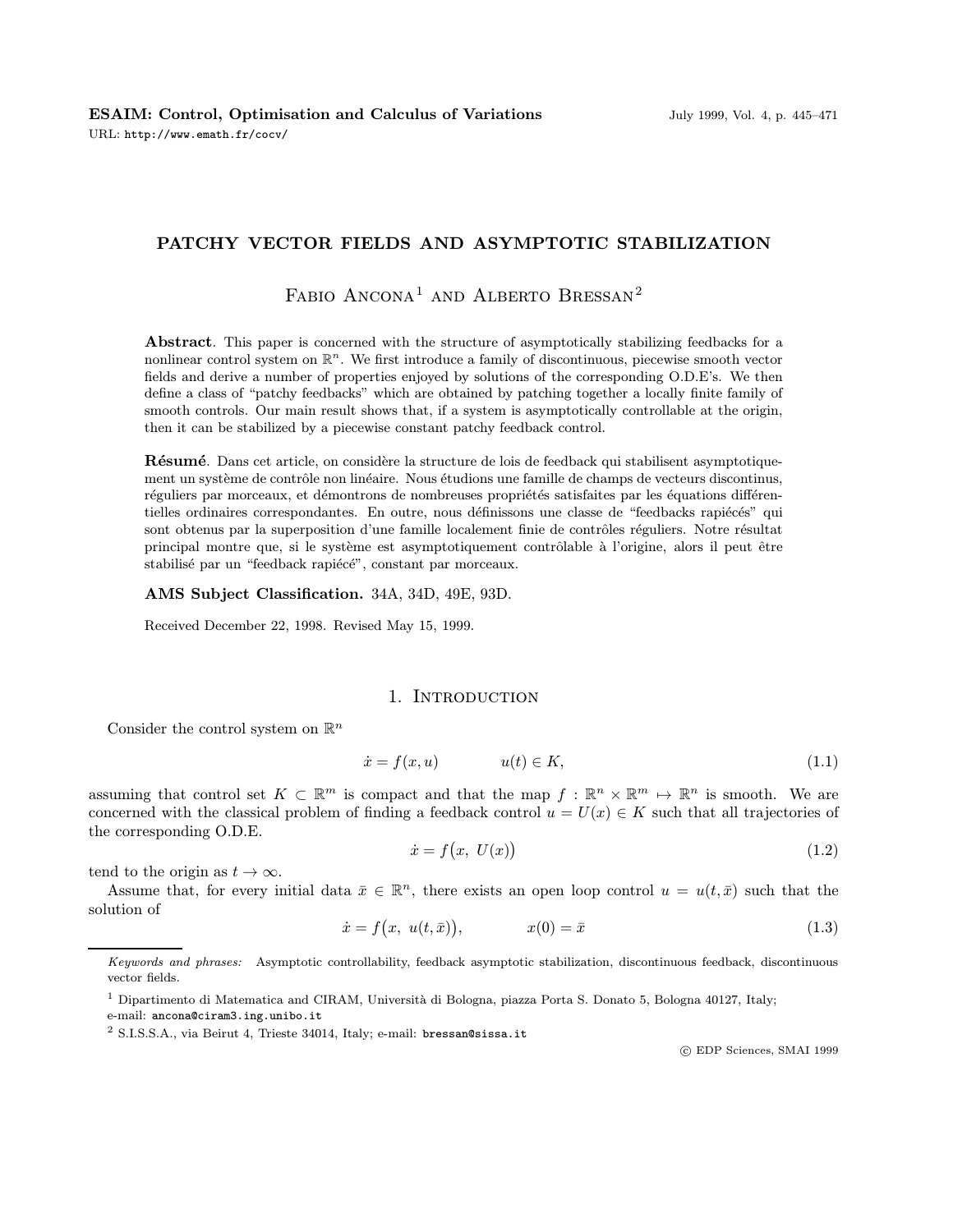## PATCHY VECTOR FIELDS AND ASYMPTOTIC STABILIZATION

# FABIO ANCONA<sup>1</sup> AND ALBERTO BRESSAN<sup>2</sup>

Abstract. This paper is concerned with the structure of asymptotically stabilizing feedbacks for a nonlinear control system on  $\mathbb{R}^n$ . We first introduce a family of discontinuous, piecewise smooth vector fields and derive a number of properties enjoyed by solutions of the corresponding O.D.E's. We then define a class of "patchy feedbacks" which are obtained by patching together a locally finite family of smooth controls. Our main result shows that, if a system is asymptotically controllable at the origin, then it can be stabilized by a piecewise constant patchy feedback control.

Résumé. Dans cet article, on considère la structure de lois de feedback qui stabilisent asymptotiquement un système de contrôle non linéaire. Nous étudions une famille de champs de vecteurs discontinus, réguliers par morceaux, et démontrons de nombreuses propriétés satisfaites par les équations différentielles ordinaires correspondantes. En outre, nous définissons une classe de "feedbacks rapiécés" qui sont obtenus par la superposition d'une famille localement finie de contrôles réguliers. Notre résultat principal montre que, si le système est asymptotiquement contrôlable à l'origine, alors il peut être stabilisé par un "feedback rapiécé", constant par morceaux.

AMS Subject Classification. 34A, 34D, 49E, 93D.

Received December 22, 1998. Revised May 15, 1999.

### 1. INTRODUCTION

Consider the control system on  $\mathbb{R}^n$ 

$$
\dot{x} = f(x, u) \qquad u(t) \in K,\tag{1.1}
$$

assuming that control set  $K \subset \mathbb{R}^m$  is compact and that the map  $f : \mathbb{R}^n \times \mathbb{R}^m \to \mathbb{R}^n$  is smooth. We are concerned with the classical problem of finding a feedback control  $u = U(x) \in K$  such that all trajectories of the corresponding O.D.E.

$$
\dot{x} = f(x, U(x))\tag{1.2}
$$

tend to the origin as  $t \to \infty$ .

Assume that, for every initial data  $\bar{x} \in \mathbb{R}^n$ , there exists an open loop control  $u = u(t, \bar{x})$  such that the solution of

$$
\dot{x} = f(x, u(t, \bar{x})), \qquad x(0) = \bar{x} \tag{1.3}
$$

c EDP Sciences, SMAI 1999

Keywords and phrases: Asymptotic controllability, feedback asymptotic stabilization, discontinuous feedback, discontinuous vector fields.

 $1$  Dipartimento di Matematica and CIRAM, Università di Bologna, piazza Porta S. Donato 5, Bologna 40127, Italy;

e-mail: ancona@ciram3.ing.unibo.it

<sup>&</sup>lt;sup>2</sup> S.I.S.S.A., via Beirut 4, Trieste 34014, Italy; e-mail: bressan@sissa.it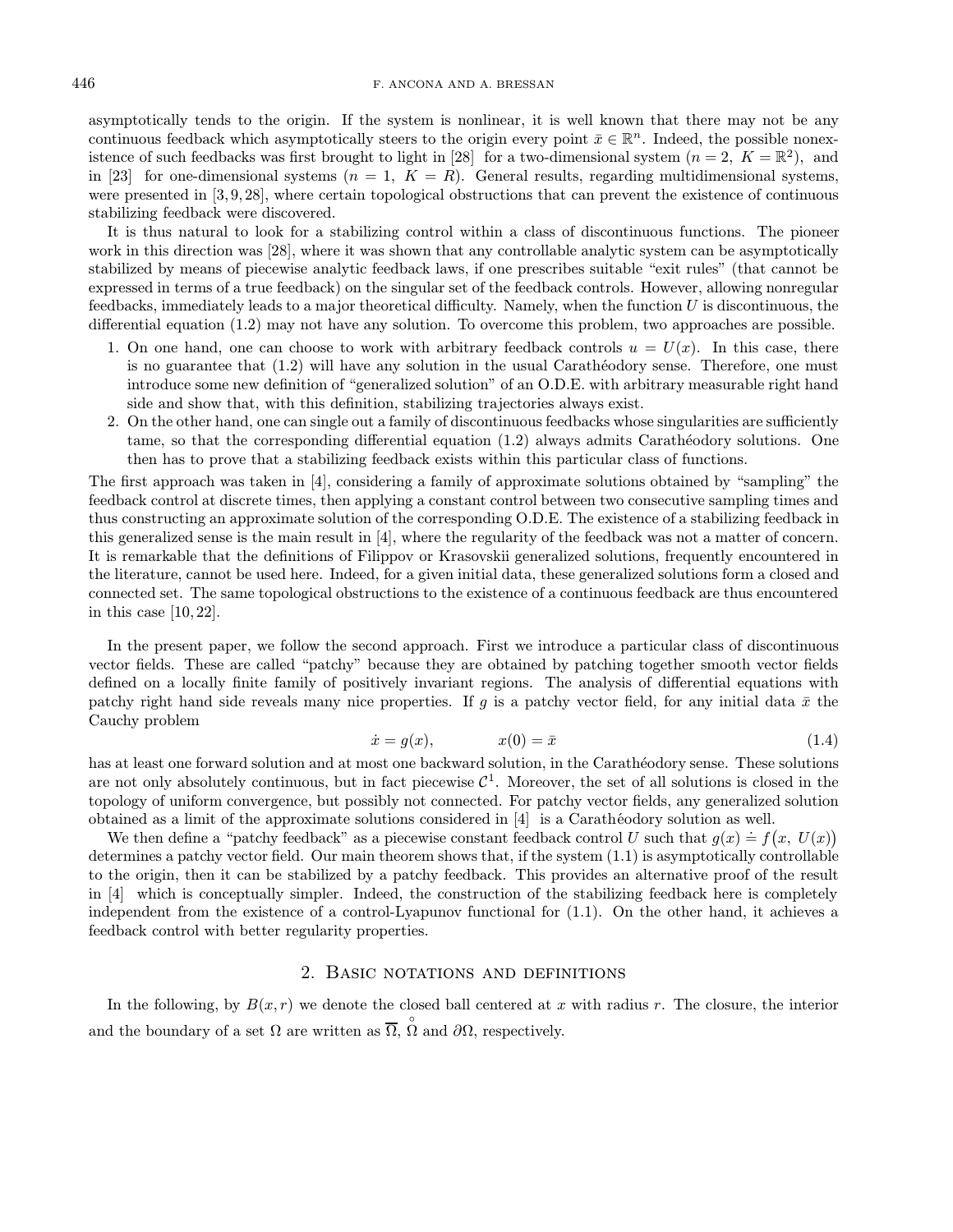asymptotically tends to the origin. If the system is nonlinear, it is well known that there may not be any continuous feedback which asymptotically steers to the origin every point  $\bar{x} \in \mathbb{R}^n$ . Indeed, the possible nonexistence of such feedbacks was first brought to light in [28] for a two-dimensional system  $(n = 2, K = \mathbb{R}^2)$ , and in [23] for one-dimensional systems  $(n = 1, K = R)$ . General results, regarding multidimensional systems, were presented in [3, 9, 28], where certain topological obstructions that can prevent the existence of continuous stabilizing feedback were discovered.

It is thus natural to look for a stabilizing control within a class of discontinuous functions. The pioneer work in this direction was [28], where it was shown that any controllable analytic system can be asymptotically stabilized by means of piecewise analytic feedback laws, if one prescribes suitable "exit rules" (that cannot be expressed in terms of a true feedback) on the singular set of the feedback controls. However, allowing nonregular feedbacks, immediately leads to a major theoretical difficulty. Namely, when the function U is discontinuous, the differential equation (1.2) may not have any solution. To overcome this problem, two approaches are possible.

- 1. On one hand, one can choose to work with arbitrary feedback controls  $u = U(x)$ . In this case, there is no guarantee that  $(1.2)$  will have any solution in the usual Carathéodory sense. Therefore, one must introduce some new definition of "generalized solution" of an O.D.E. with arbitrary measurable right hand side and show that, with this definition, stabilizing trajectories always exist.
- 2. On the other hand, one can single out a family of discontinuous feedbacks whose singularities are sufficiently tame, so that the corresponding differential equation  $(1.2)$  always admits Carathéodory solutions. One then has to prove that a stabilizing feedback exists within this particular class of functions.

The first approach was taken in [4], considering a family of approximate solutions obtained by "sampling" the feedback control at discrete times, then applying a constant control between two consecutive sampling times and thus constructing an approximate solution of the corresponding O.D.E. The existence of a stabilizing feedback in this generalized sense is the main result in [4], where the regularity of the feedback was not a matter of concern. It is remarkable that the definitions of Filippov or Krasovskii generalized solutions, frequently encountered in the literature, cannot be used here. Indeed, for a given initial data, these generalized solutions form a closed and connected set. The same topological obstructions to the existence of a continuous feedback are thus encountered in this case  $[10, 22]$ .

In the present paper, we follow the second approach. First we introduce a particular class of discontinuous vector fields. These are called "patchy" because they are obtained by patching together smooth vector fields defined on a locally finite family of positively invariant regions. The analysis of differential equations with patchy right hand side reveals many nice properties. If g is a patchy vector field, for any initial data  $\bar{x}$  the Cauchy problem

$$
\dot{x} = g(x), \qquad x(0) = \bar{x} \tag{1.4}
$$

has at least one forward solution and at most one backward solution, in the Carathéodory sense. These solutions are not only absolutely continuous, but in fact piecewise  $C^1$ . Moreover, the set of all solutions is closed in the topology of uniform convergence, but possibly not connected. For patchy vector fields, any generalized solution obtained as a limit of the approximate solutions considered in  $[4]$  is a Carathéodory solution as well.

We then define a "patchy feedback" as a piecewise constant feedback control U such that  $g(x) \doteq f(x, U(x))$ . determines a patchy vector field. Our main theorem shows that, if the system (1.1) is asymptotically controllable to the origin, then it can be stabilized by a patchy feedback. This provides an alternative proof of the result in [4] which is conceptually simpler. Indeed, the construction of the stabilizing feedback here is completely independent from the existence of a control-Lyapunov functional for (1.1). On the other hand, it achieves a feedback control with better regularity properties.

## 2. Basic notations and definitions

In the following, by  $B(x, r)$  we denote the closed ball centered at x with radius r. The closure, the interior and the boundary of a set  $\Omega$  are written as  $\overline{\Omega}$ ,  $\overset{\circ}{\Omega}$  and  $\partial\Omega$ , respectively.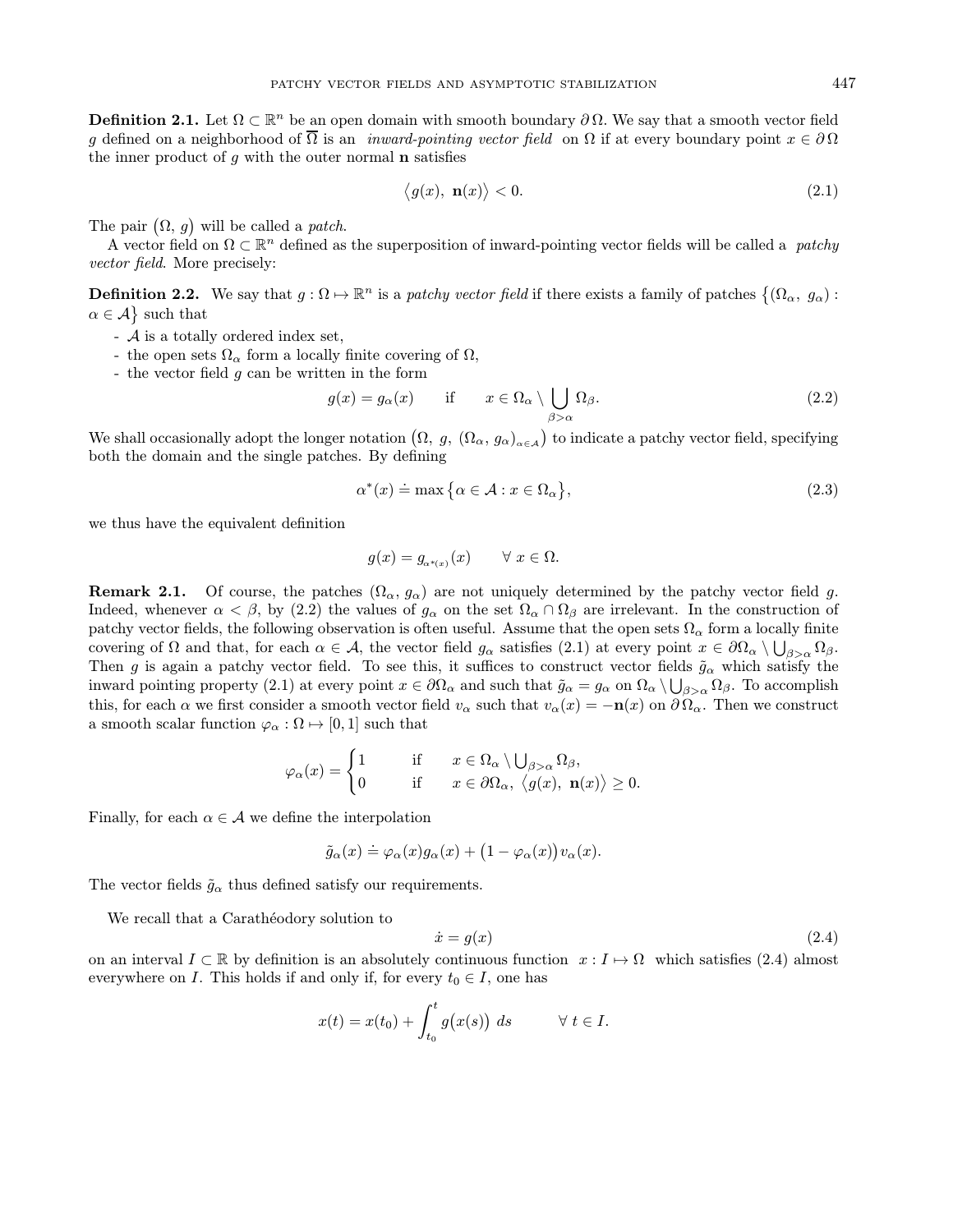**Definition 2.1.** Let  $\Omega \subset \mathbb{R}^n$  be an open domain with smooth boundary  $\partial \Omega$ . We say that a smooth vector field g defined on a neighborhood of  $\overline{\Omega}$  is an *inward-pointing vector field* on  $\Omega$  if at every boundary point  $x \in \partial \Omega$ the inner product of  $q$  with the outer normal **n** satisfies

$$
\langle g(x), \mathbf{n}(x) \rangle < 0. \tag{2.1}
$$

The pair  $(\Omega, g)$  will be called a *patch*.

A vector field on  $\Omega \subset \mathbb{R}^n$  defined as the superposition of inward-pointing vector fields will be called a patchy vector field. More precisely:

**Definition 2.2.** We say that  $g: \Omega \mapsto \mathbb{R}^n$  is a patchy vector field if there exists a family of patches  $\{(\Omega_\alpha, g_\alpha):$  $\alpha \in \mathcal{A}$  such that

- A is a totally ordered index set,
- the open sets  $\Omega_{\alpha}$  form a locally finite covering of  $\Omega$ ,
- the vector field g can be written in the form

$$
g(x) = g_{\alpha}(x) \quad \text{if} \quad x \in \Omega_{\alpha} \setminus \bigcup_{\beta > \alpha} \Omega_{\beta}.
$$
 (2.2)

We shall occasionally adopt the longer notation  $(\Omega, g, (\Omega_\alpha, g_\alpha)_{\alpha \in A})$  to indicate a patchy vector field, specifying both the domain and the single patches. By defining

$$
\alpha^*(x) \doteq \max\left\{\alpha \in \mathcal{A} : x \in \Omega_\alpha\right\},\tag{2.3}
$$

we thus have the equivalent definition

$$
g(x) = g_{\alpha^{*}(x)}(x) \qquad \forall \ x \in \Omega.
$$

**Remark 2.1.** Of course, the patches  $(\Omega_{\alpha}, g_{\alpha})$  are not uniquely determined by the patchy vector field g. Indeed, whenever  $\alpha < \beta$ , by (2.2) the values of  $g_{\alpha}$  on the set  $\Omega_{\alpha} \cap \Omega_{\beta}$  are irrelevant. In the construction of patchy vector fields, the following observation is often useful. Assume that the open sets  $\Omega_{\alpha}$  form a locally finite covering of  $\Omega$  and that, for each  $\alpha \in \mathcal{A}$ , the vector field  $g_{\alpha}$  satisfies  $(2.1)$  at every point  $x \in \partial\Omega_{\alpha} \setminus \bigcup_{\beta > \alpha} \Omega_{\beta}$ . Then g is again a patchy vector field. To see this, it suffices to construct vector fields  $\tilde{g}_{\alpha}$  which satisfy the inward pointing property (2.1) at every point  $x \in \partial\Omega_\alpha$  and such that  $\tilde{g}_\alpha = g_\alpha$  on  $\Omega_\alpha \setminus \bigcup_{\beta > \alpha} \Omega_\beta$ . To accomplish this, for each  $\alpha$  we first consider a smooth vector field  $v_{\alpha}$  such that  $v_{\alpha}(x) = -\mathbf{n}(x)$  on  $\partial \Omega_{\alpha}$ . Then we construct a smooth scalar function  $\varphi_{\alpha} : \Omega \mapsto [0, 1]$  such that

$$
\varphi_\alpha(x)=\begin{cases}1 \qquad &\mathrm{if}\qquad x\in\Omega_\alpha\setminus\bigcup_{\beta>\alpha}\Omega_\beta,\\ 0 \qquad &\mathrm{if}\qquad x\in\partial\Omega_\alpha,\;\big\langle g(x),\;\mathbf{n}(x)\big\rangle\geq 0.\end{cases}
$$

Finally, for each  $\alpha \in \mathcal{A}$  we define the interpolation

$$
\tilde{g}_{\alpha}(x) \doteq \varphi_{\alpha}(x)g_{\alpha}(x) + (1 - \varphi_{\alpha}(x))v_{\alpha}(x).
$$

The vector fields  $\tilde{g}_{\alpha}$  thus defined satisfy our requirements.

We recall that a Carathéodory solution to

$$
\dot{x} = g(x) \tag{2.4}
$$

on an interval  $I \subset \mathbb{R}$  by definition is an absolutely continuous function  $x : I \mapsto \Omega$  which satisfies (2.4) almost everywhere on I. This holds if and only if, for every  $t_0 \in I$ , one has

$$
x(t) = x(t_0) + \int_{t_0}^t g(x(s)) ds \qquad \forall t \in I.
$$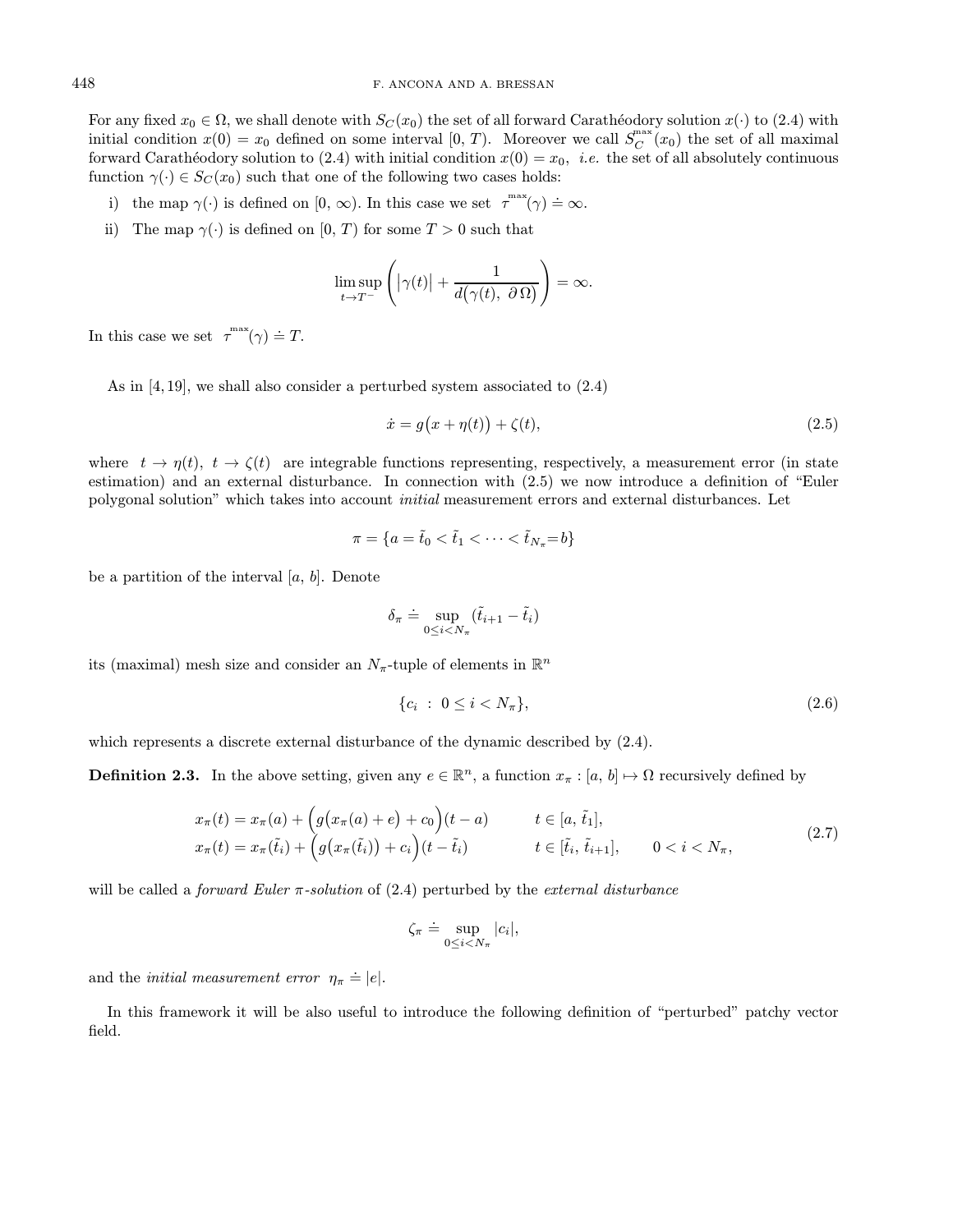For any fixed  $x_0 \in \Omega$ , we shall denote with  $S_C(x_0)$  the set of all forward Carathéodory solution  $x(\cdot)$  to (2.4) with initial condition  $x(0) = x_0$  defined on some interval  $[0, T)$ . Moreover we call  $S_C^{\max}(x_0)$  the set of all maximal forward Carathéodory solution to (2.4) with initial condition  $x(0) = x_0$ , *i.e.* the set of all absolutely continuous function  $\gamma(\cdot) \in S_C(x_0)$  such that one of the following two cases holds:

- i) the map  $\gamma(\cdot)$  is defined on  $[0, \infty)$ . In this case we set  $\tau^{\max}(\gamma) \doteq \infty$ .
- ii) The map  $\gamma(\cdot)$  is defined on [0, T] for some  $T > 0$  such that

$$
\limsup_{t \to T^-} \left( |\gamma(t)| + \frac{1}{d(\gamma(t), \ \partial \Omega)} \right) = \infty.
$$

In this case we set  $\tau^{\max}(\gamma) \doteq T$ .

As in [4, 19], we shall also consider a perturbed system associated to (2.4)

$$
\dot{x} = g(x + \eta(t)) + \zeta(t),\tag{2.5}
$$

where  $t \to \eta(t)$ ,  $t \to \zeta(t)$  are integrable functions representing, respectively, a measurement error (in state estimation) and an external disturbance. In connection with (2.5) we now introduce a definition of "Euler polygonal solution" which takes into account initial measurement errors and external disturbances. Let

$$
\pi = \{a = \tilde{t}_0 < \tilde{t}_1 < \cdots < \tilde{t}_{N_\pi} = b\}
$$

be a partition of the interval  $[a, b]$ . Denote

$$
\delta_{\pi} \doteq \sup_{0 \leq i < N_{\pi}} (\tilde{t}_{i+1} - \tilde{t}_{i})
$$

its (maximal) mesh size and consider an  $N_{\pi}$ -tuple of elements in  $\mathbb{R}^n$ 

$$
\{c_i \; : \; 0 \le i < N_\pi\},\tag{2.6}
$$

which represents a discrete external disturbance of the dynamic described by (2.4).

**Definition 2.3.** In the above setting, given any  $e \in \mathbb{R}^n$ , a function  $x_\pi : [a, b] \mapsto \Omega$  recursively defined by

$$
x_{\pi}(t) = x_{\pi}(a) + \left(g(x_{\pi}(a) + e) + c_0\right)(t - a) \qquad t \in [a, \tilde{t}_1],
$$
  
\n
$$
x_{\pi}(t) = x_{\pi}(\tilde{t}_i) + \left(g(x_{\pi}(\tilde{t}_i)) + c_i\right)(t - \tilde{t}_i) \qquad t \in [\tilde{t}_i, \tilde{t}_{i+1}], \qquad 0 < i < N_{\pi},
$$
\n(2.7)

will be called a *forward Euler*  $\pi$ -solution of (2.4) perturbed by the *external disturbance* 

$$
\zeta_{\pi} \doteq \sup_{0 \leq i < N_{\pi}} |c_i|,
$$

and the *initial measurement error*  $\eta_{\pi} \doteq |e|$ .

In this framework it will be also useful to introduce the following definition of "perturbed" patchy vector field.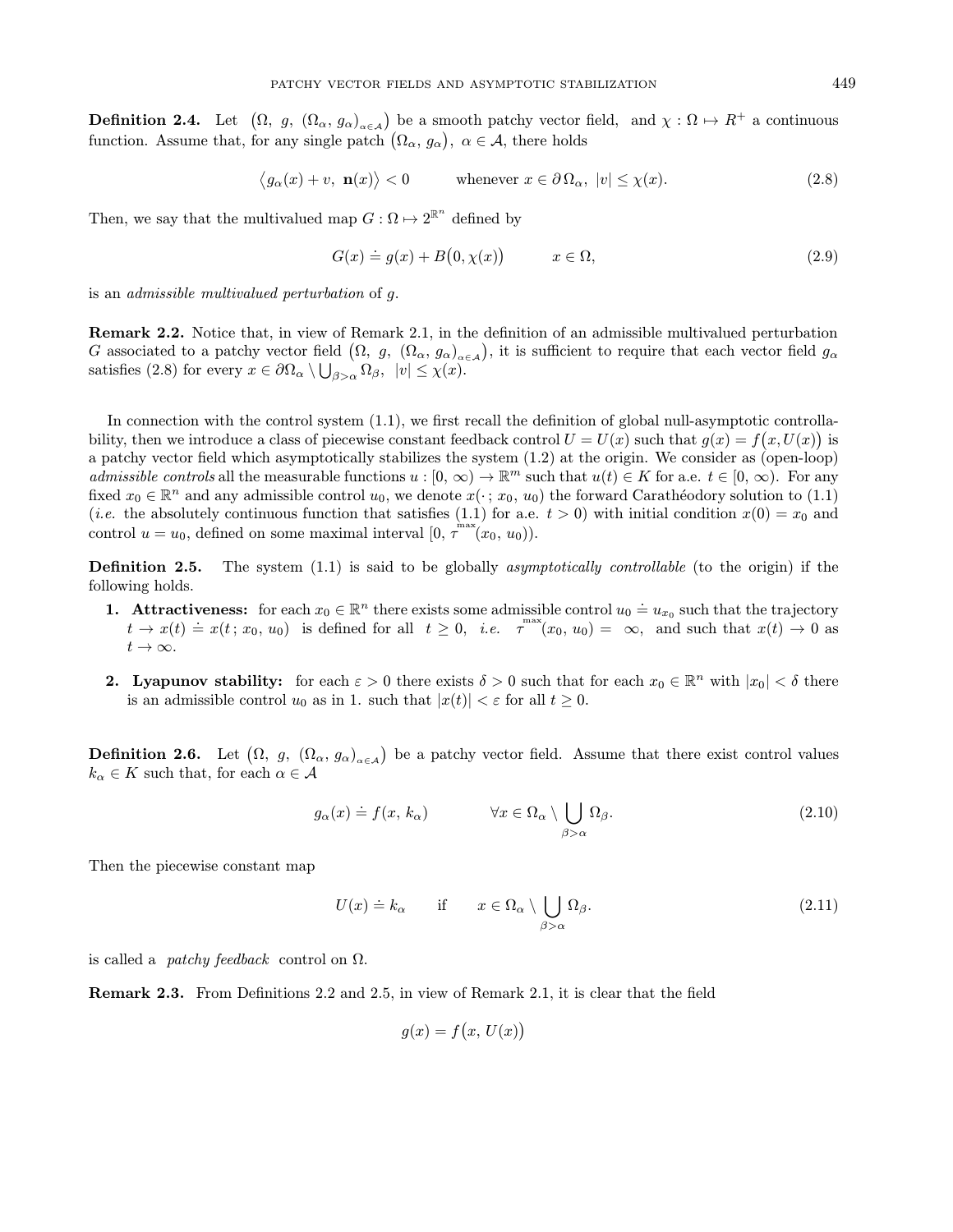**Definition 2.4.** Let  $(\Omega, g, (\Omega_{\alpha}, g_{\alpha})_{\alpha \in A})$  be a smooth patchy vector field, and  $\chi : \Omega \mapsto R^+$  a continuous function. Assume that, for any single patch  $(\Omega_{\alpha}, g_{\alpha})$ ,  $\alpha \in \mathcal{A}$ , there holds

$$
\langle g_{\alpha}(x) + v, \mathbf{n}(x) \rangle < 0 \qquad \text{whenever } x \in \partial \Omega_{\alpha}, \ |v| \le \chi(x). \tag{2.8}
$$

Then, we say that the multivalued map  $G: \Omega \mapsto 2^{\mathbb{R}^n}$  defined by

$$
G(x) \doteq g(x) + B(0, \chi(x)) \qquad x \in \Omega,
$$
\n(2.9)

is an admissible multivalued perturbation of g.

Remark 2.2. Notice that, in view of Remark 2.1, in the definition of an admissible multivalued perturbation G associated to a patchy vector field  $(\Omega, g, (\Omega_\alpha, g_\alpha)_{\alpha \in A})$ , it is sufficient to require that each vector field  $g_\alpha$ satisfies (2.8) for every  $x \in \partial\Omega_{\alpha} \setminus \bigcup_{\beta > \alpha} \Omega_{\beta}, \ |v| \leq \chi(x)$ .

In connection with the control system  $(1.1)$ , we first recall the definition of global null-asymptotic controllability, then we introduce a class of piecewise constant feedback control  $U = U(x)$  such that  $g(x) = f(x, U(x))$  is a patchy vector field which asymptotically stabilizes the system (1.2) at the origin. We consider as (open-loop) admissible controls all the measurable functions  $u : [0, \infty) \to \mathbb{R}^m$  such that  $u(t) \in K$  for a.e.  $t \in [0, \infty)$ . For any fixed  $x_0 \in \mathbb{R}^n$  and any admissible control  $u_0$ , we denote  $x(\cdot; x_0, u_0)$  the forward Carathéodory solution to (1.1) (*i.e.* the absolutely continuous function that satisfies (1.1) for a.e.  $t > 0$ ) with initial condition  $x(0) = x_0$  and control  $u = u_0$ , defined on some maximal interval  $[0, \tau^{max}(x_0, u_0))$ .

**Definition 2.5.** The system  $(1.1)$  is said to be globally *asymptotically controllable* (to the origin) if the following holds.

- **1.** Attractiveness: for each  $x_0 \in \mathbb{R}^n$  there exists some admissible control  $u_0 \doteq u_{x_0}$  such that the trajectory  $t \to x(t) \doteq x(t; x_0, u_0)$  is defined for all  $t \geq 0$ , *i.e.*  $\tau^{max}(x_0, u_0) = \infty$ , and such that  $x(t) \to 0$  as  $t\to\infty$ .
- **2.** Lyapunov stability: for each  $\varepsilon > 0$  there exists  $\delta > 0$  such that for each  $x_0 \in \mathbb{R}^n$  with  $|x_0| < \delta$  there is an admissible control  $u_0$  as in 1. such that  $|x(t)| < \varepsilon$  for all  $t \geq 0$ .

**Definition 2.6.** Let  $(\Omega, g, (\Omega_\alpha, g_\alpha)_{\alpha \in A})$  be a patchy vector field. Assume that there exist control values  $k_{\alpha} \in K$  such that, for each  $\alpha \in \mathcal{A}$ 

$$
g_{\alpha}(x) \doteq f(x, k_{\alpha}) \qquad \forall x \in \Omega_{\alpha} \setminus \bigcup_{\beta > \alpha} \Omega_{\beta}.
$$
 (2.10)

Then the piecewise constant map

$$
U(x) \doteq k_{\alpha} \quad \text{if} \quad x \in \Omega_{\alpha} \setminus \bigcup_{\beta > \alpha} \Omega_{\beta}.
$$
 (2.11)

is called a *patchy feedback* control on  $\Omega$ .

Remark 2.3. From Definitions 2.2 and 2.5, in view of Remark 2.1, it is clear that the field

$$
g(x) = f(x, U(x))
$$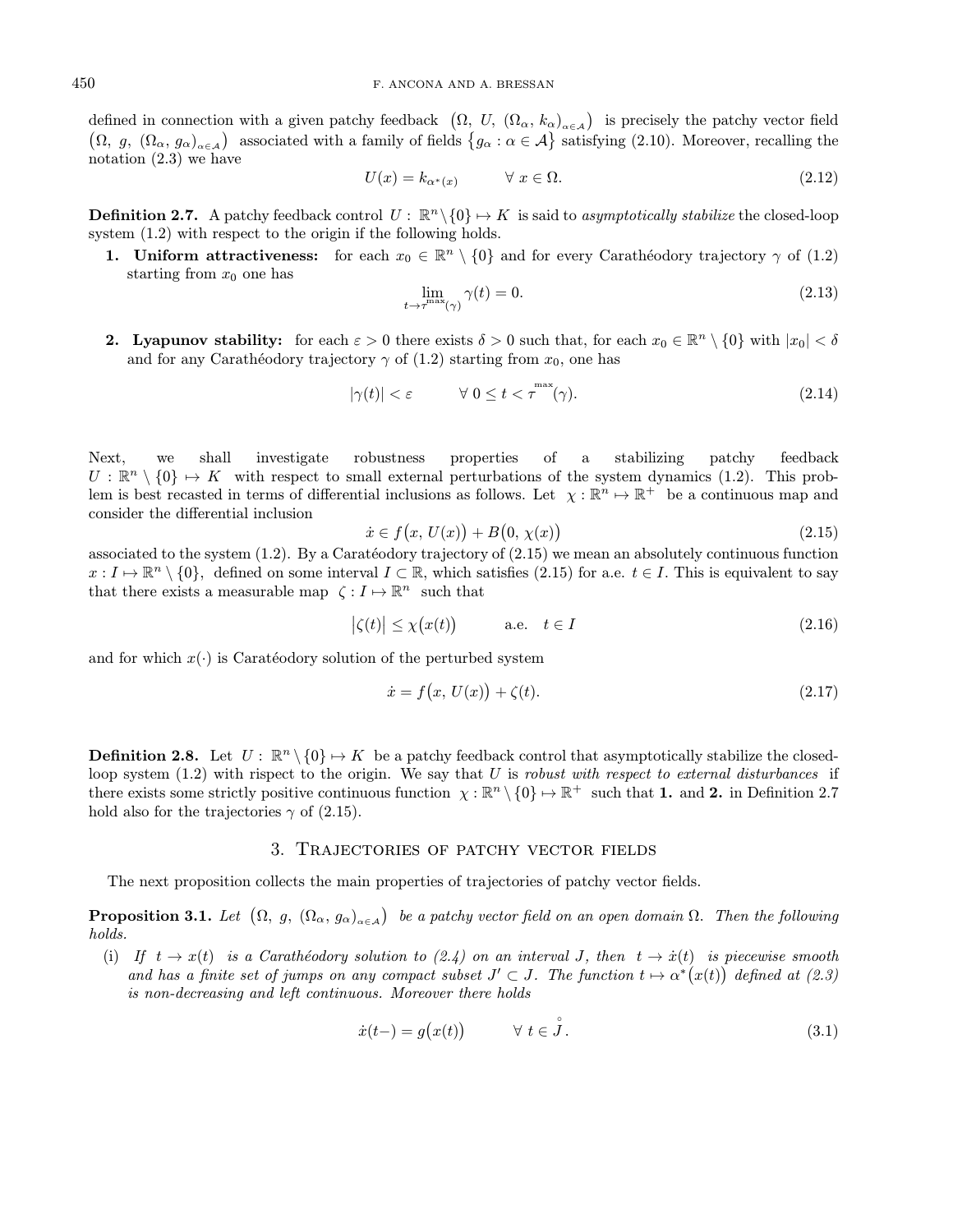defined in connection with a given patchy feedback  $(\Omega, U, (\Omega_{\alpha}, k_{\alpha})_{\alpha \in A})$  is precisely the patchy vector field  $(\Omega, g, (\Omega_\alpha, g_\alpha)_{\alpha \in A})$  associated with a family of fields  $\{g_\alpha : \alpha \in A\}$  satisfying (2.10). Moreover, recalling the notation (2.3) we have

$$
U(x) = k_{\alpha^*(x)} \qquad \forall \ x \in \Omega. \tag{2.12}
$$

**Definition 2.7.** A patchy feedback control  $U : \mathbb{R}^n \setminus \{0\} \mapsto K$  is said to asymptotically stabilize the closed-loop system  $(1.2)$  with respect to the origin if the following holds.

1. Uniform attractiveness: for each  $x_0 \in \mathbb{R}^n \setminus \{0\}$  and for every Carathéodory trajectory  $\gamma$  of (1.2) starting from  $x_0$  one has

$$
\lim_{t \to \tau^{\text{max}}(\gamma)} \gamma(t) = 0. \tag{2.13}
$$

**2. Lyapunov stability:** for each  $\varepsilon > 0$  there exists  $\delta > 0$  such that, for each  $x_0 \in \mathbb{R}^n \setminus \{0\}$  with  $|x_0| < \delta$ and for any Carathéodory trajectory  $\gamma$  of (1.2) starting from  $x_0$ , one has

$$
|\gamma(t)| < \varepsilon \qquad \qquad \forall \ 0 \le t < \tau^{\max}(\gamma). \tag{2.14}
$$

Next, we shall investigate robustness properties of a stabilizing patchy feedback  $U : \mathbb{R}^n \setminus \{0\} \mapsto K$  with respect to small external perturbations of the system dynamics (1.2). This problem is best recasted in terms of differential inclusions as follows. Let  $\chi : \mathbb{R}^n \to \mathbb{R}^+$  be a continuous map and consider the differential inclusion

$$
\dot{x} \in f(x, U(x)) + B(0, \chi(x)) \tag{2.15}
$$

associated to the system  $(1.2)$ . By a Caratéodory trajectory of  $(2.15)$  we mean an absolutely continuous function  $x: I \mapsto \mathbb{R}^n \setminus \{0\}$ , defined on some interval  $I \subset \mathbb{R}$ , which satisfies (2.15) for a.e.  $t \in I$ . This is equivalent to say that there exists a measurable map  $\zeta : I \mapsto \mathbb{R}^n$  such that

$$
|\zeta(t)| \le \chi(x(t)) \qquad \text{a.e.} \quad t \in I \tag{2.16}
$$

and for which  $x(\cdot)$  is Caratéodory solution of the perturbed system

$$
\dot{x} = f(x, U(x)) + \zeta(t). \tag{2.17}
$$

**Definition 2.8.** Let  $U : \mathbb{R}^n \setminus \{0\} \mapsto K$  be a patchy feedback control that asymptotically stabilize the closedloop system  $(1.2)$  with rispect to the origin. We say that U is robust with respect to external disturbances if there exists some strictly positive continuous function  $\chi : \mathbb{R}^n \setminus \{0\} \mapsto \mathbb{R}^+$  such that 1. and 2. in Definition 2.7 hold also for the trajectories  $\gamma$  of (2.15).

#### 3. Trajectories of patchy vector fields

The next proposition collects the main properties of trajectories of patchy vector fields.

**Proposition 3.1.** Let  $(\Omega, g, (\Omega_\alpha, g_\alpha)_{\alpha \in A})$  be a patchy vector field on an open domain  $\Omega$ . Then the following holds.

(i) If  $t \to x(t)$  is a Carathéodory solution to (2.4) on an interval J, then  $t \to \dot{x}(t)$  is piecewise smooth and has a finite set of jumps on any compact subset  $J' \subset J$ . The function  $t \mapsto \alpha^*(x(t))$  defined at (2.3) is non-decreasing and left continuous. Moreover there holds

$$
\dot{x}(t-) = g(x(t)) \qquad \forall \ t \in \overset{\circ}{J}.
$$
\n(3.1)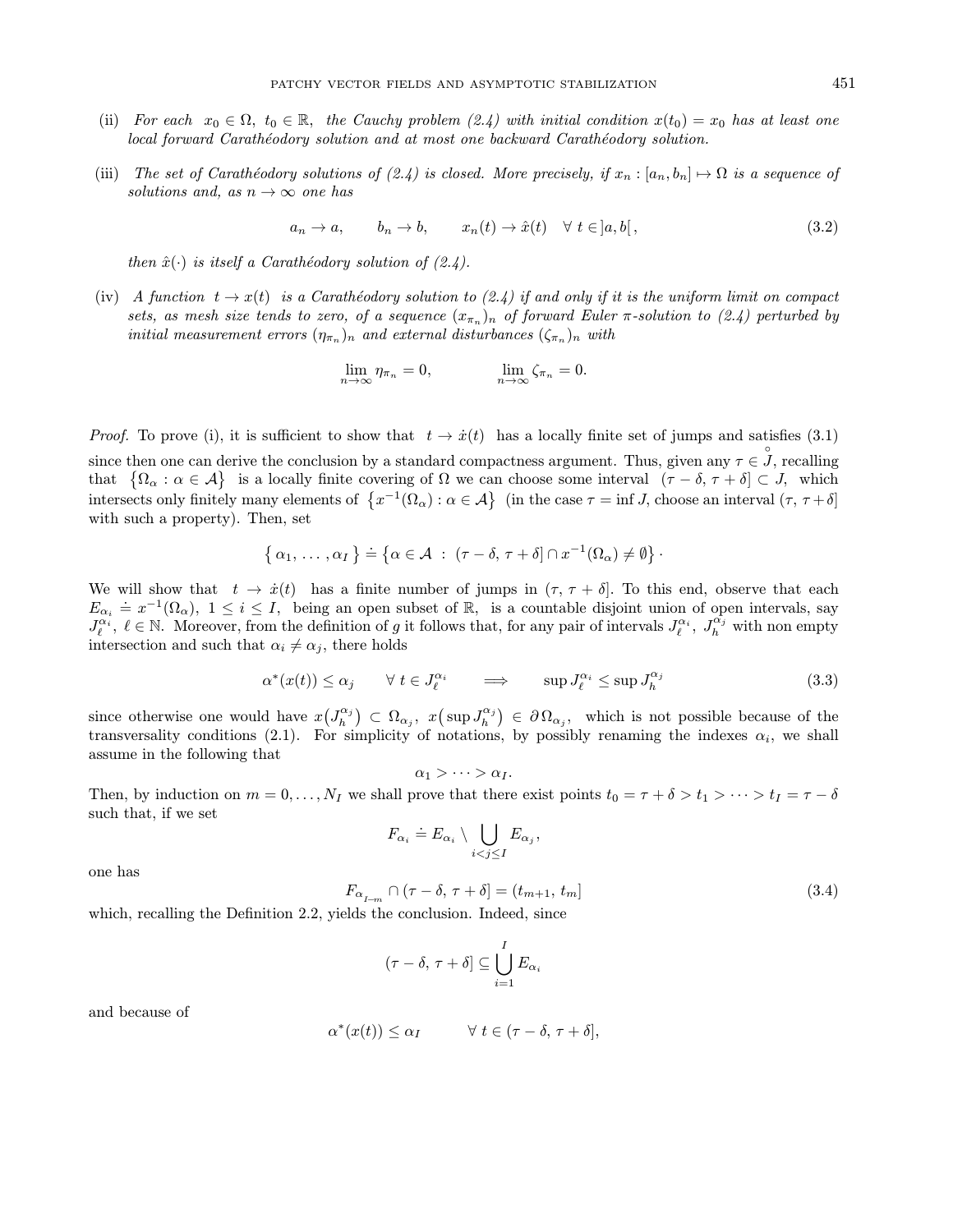- (ii) For each  $x_0 \in \Omega$ ,  $t_0 \in \mathbb{R}$ , the Cauchy problem (2.4) with initial condition  $x(t_0) = x_0$  has at least one local forward Carathéodory solution and at most one backward Carathéodory solution.
- (iii) The set of Carathéodory solutions of (2.4) is closed. More precisely, if  $x_n : [a_n, b_n] \mapsto \Omega$  is a sequence of solutions and, as  $n \to \infty$  one has

 $a_n \to a, \qquad b_n \to b, \qquad x_n(t) \to \hat{x}(t) \quad \forall \ t \in ]a, b[,$ (3.2)

then  $\hat{x}(\cdot)$  is itself a Carathéodory solution of (2.4).

(iv) A function  $t \to x(t)$  is a Carathéodory solution to (2.4) if and only if it is the uniform limit on compact sets, as mesh size tends to zero, of a sequence  $(x_{\pi_n})$  of forward Euler  $\pi$ -solution to (2.4) perturbed by initial measurement errors  $(\eta_{\pi_n})_n$  and external disturbances  $(\zeta_{\pi_n})_n$  with

$$
\lim_{n \to \infty} \eta_{\pi_n} = 0, \qquad \lim_{n \to \infty} \zeta_{\pi_n} = 0.
$$

*Proof.* To prove (i), it is sufficient to show that  $t \to \dot{x}(t)$  has a locally finite set of jumps and satisfies (3.1) since then one can derive the conclusion by a standard compactness argument. Thus, given any  $\tau \in \mathcal{J}$ , recalling that  $\{\Omega_{\alpha}: \alpha \in \mathcal{A}\}\$ is a locally finite covering of  $\Omega$  we can choose some interval  $(\tau - \delta, \tau + \delta] \subset J$ , which intersects only finitely many elements of  $\{x^{-1}(\Omega_\alpha): \alpha \in \mathcal{A}\}\$  (in the case  $\tau = \inf J$ , choose an interval  $(\tau, \tau + \delta]$ with such a property). Then, set

$$
\{ \alpha_1, \ldots, \alpha_I \} \doteq \{ \alpha \in \mathcal{A} \; : \; (\tau - \delta, \tau + \delta] \cap x^{-1}(\Omega_\alpha) \neq \emptyset \}.
$$

We will show that  $t \to \dot{x}(t)$  has a finite number of jumps in  $(\tau, \tau + \delta]$ . To this end, observe that each  $E_{\alpha_i} = x^{-1}(\Omega_{\alpha}), \ 1 \leq i \leq I$ , being an open subset of R, is a countable disjoint union of open intervals, say  $J_{\ell}^{\alpha_i}, \ell \in \mathbb{N}$ . Moreover, from the definition of g it follows that, for any pair of intervals  $J_{\ell}^{\alpha_i}, J_{h}^{\alpha_j}$  with non empty intersection and such that  $\alpha_i \neq \alpha_j$ , there holds

$$
\alpha^*(x(t)) \le \alpha_j \qquad \forall \ t \in J_\ell^{\alpha_i} \qquad \implies \qquad \sup J_\ell^{\alpha_i} \le \sup J_h^{\alpha_j} \tag{3.3}
$$

since otherwise one would have  $x(J_h^{\alpha_j}) \subset \Omega_{\alpha_j}$ ,  $x(\sup J_h^{\alpha_j}) \in \partial \Omega_{\alpha_j}$ , which is not possible because of the transversality conditions (2.1). For simplicity of notations, by possibly renaming the indexes  $\alpha_i$ , we shall assume in the following that

$$
\alpha_1 > \cdots > \alpha_I.
$$

Then, by induction on  $m = 0, \ldots, N_I$  we shall prove that there exist points  $t_0 = \tau + \delta > t_1 > \cdots > t_I = \tau - \delta$ such that, if we set

$$
F_{\alpha_i} \doteq E_{\alpha_i} \setminus \bigcup_{i < j \leq I} E_{\alpha_j},
$$

one has

$$
F_{\alpha_{I-m}} \cap (\tau - \delta, \tau + \delta] = (t_{m+1}, t_m]
$$
\n(3.4)

which, recalling the Definition 2.2, yields the conclusion. Indeed, since

$$
(\tau-\delta,\,\tau+\delta]\subseteq\bigcup_{i=1}^I E_{\alpha_i}
$$

and because of

$$
\alpha^*(x(t)) \le \alpha_I \qquad \forall \ t \in (\tau - \delta, \ \tau + \delta],
$$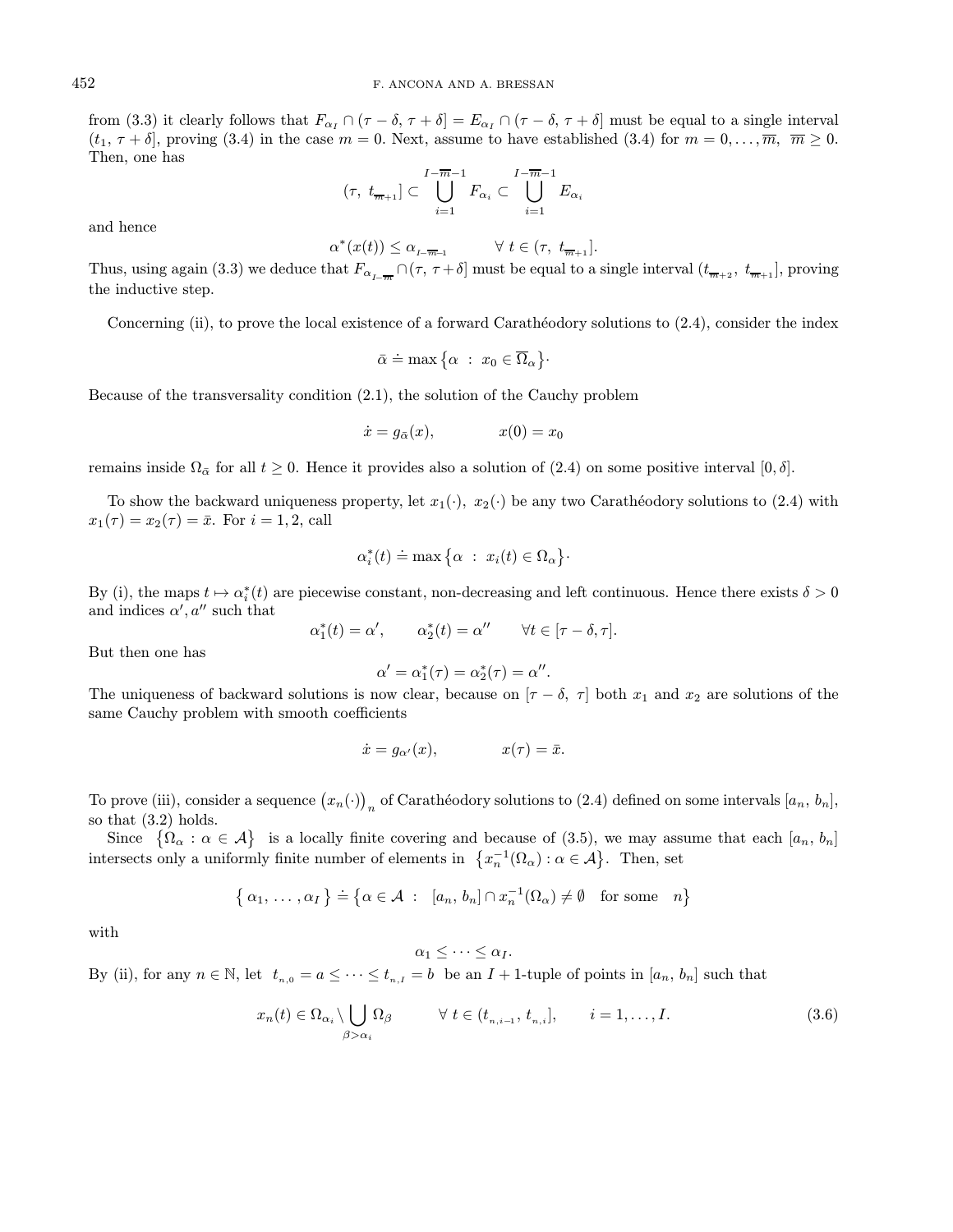from (3.3) it clearly follows that  $F_{\alpha} \cap (\tau - \delta, \tau + \delta] = E_{\alpha} \cap (\tau - \delta, \tau + \delta]$  must be equal to a single interval  $(t_1, \tau + \delta)$ , proving (3.4) in the case  $m = 0$ . Next, assume to have established (3.4) for  $m = 0, \ldots, \overline{m}, \overline{m} \ge 0$ . Then, one has

$$
(\tau, t_{\overline{m}+1}] \subset \bigcup_{i=1}^{I-\overline{m}-1} F_{\alpha_i} \subset \bigcup_{i=1}^{I-\overline{m}-1} E_{\alpha_i}
$$

and hence

$$
\alpha^*(x(t)) \le \alpha_{L-\overline{m-1}} \qquad \forall \ t \in (\tau, t_{\overline{m+1}}].
$$

Thus, using again (3.3) we deduce that  $F_{\alpha_{I-\overline{m}}} \cap (\tau, \tau+\delta]$  must be equal to a single interval  $(t_{\overline{m}+2}, t_{\overline{m}+1}]$ , proving the inductive step.

Concerning (ii), to prove the local existence of a forward Carathéodory solutions to (2.4), consider the index

$$
\bar{\alpha} \doteq \max \big\{\alpha \ : \ x_0 \in \overline{\Omega}_\alpha \big\}.
$$

Because of the transversality condition (2.1), the solution of the Cauchy problem

$$
\dot{x} = g_{\bar{\alpha}}(x), \qquad \qquad x(0) = x_0
$$

remains inside  $\Omega_{\bar{\alpha}}$  for all  $t \geq 0$ . Hence it provides also a solution of (2.4) on some positive interval [0,  $\delta$ ].

To show the backward uniqueness property, let  $x_1(\cdot)$ ,  $x_2(\cdot)$  be any two Carathéodory solutions to (2.4) with  $x_1(\tau) = x_2(\tau) = \bar{x}$ . For  $i = 1, 2$ , call

$$
\alpha_i^*(t) \doteq \max\big\{\alpha \ : \ x_i(t) \in \Omega_\alpha\big\}.
$$

By (i), the maps  $t \mapsto \alpha_i^*(t)$  are piecewise constant, non-decreasing and left continuous. Hence there exists  $\delta > 0$ and indices  $\alpha', a''$  such that

 $\alpha_1^*(t) = \alpha', \qquad \alpha_2^*(t) = \alpha'' \qquad \forall t \in [\tau - \delta, \tau].$ 

But then one has

$$
\alpha' = \alpha_1^*(\tau) = \alpha_2^*(\tau) = \alpha''.
$$

The uniqueness of backward solutions is now clear, because on  $[\tau - \delta, \tau]$  both  $x_1$  and  $x_2$  are solutions of the same Cauchy problem with smooth coefficients

$$
\dot{x} = g_{\alpha'}(x), \qquad x(\tau) = \bar{x}.
$$

To prove (iii), consider a sequence  $(x_n(\cdot))_n$  of Carathéodory solutions to (2.4) defined on some intervals  $[a_n, b_n]$ , so that (3.2) holds.

Since  $\{\Omega_{\alpha} : \alpha \in \mathcal{A}\}\$ is a locally finite covering and because of (3.5), we may assume that each  $[a_n, b_n]$ intersects only a uniformly finite number of elements in  $\{x_n^{-1}(\Omega_\alpha): \alpha \in \mathcal{A}\}\.$  Then, set

$$
\{\alpha_1, \ldots, \alpha_I\} \doteq \{\alpha \in \mathcal{A} \; : \; [a_n, b_n] \cap x_n^{-1}(\Omega_\alpha) \neq \emptyset \quad \text{for some} \quad n\}
$$

with

# $\alpha_1 < \cdots < \alpha_I$ .

By (ii), for any  $n \in \mathbb{N}$ , let  $t_{n,0} = a \leq \cdots \leq t_{n,I} = b$  be an  $I + 1$ -tuple of points in  $[a_n, b_n]$  such that

$$
x_n(t) \in \Omega_{\alpha_i} \setminus \bigcup_{\beta > \alpha_i} \Omega_{\beta} \qquad \forall \ t \in (t_{n,i-1}, t_{n,i}], \qquad i = 1, \dots, I.
$$
 (3.6)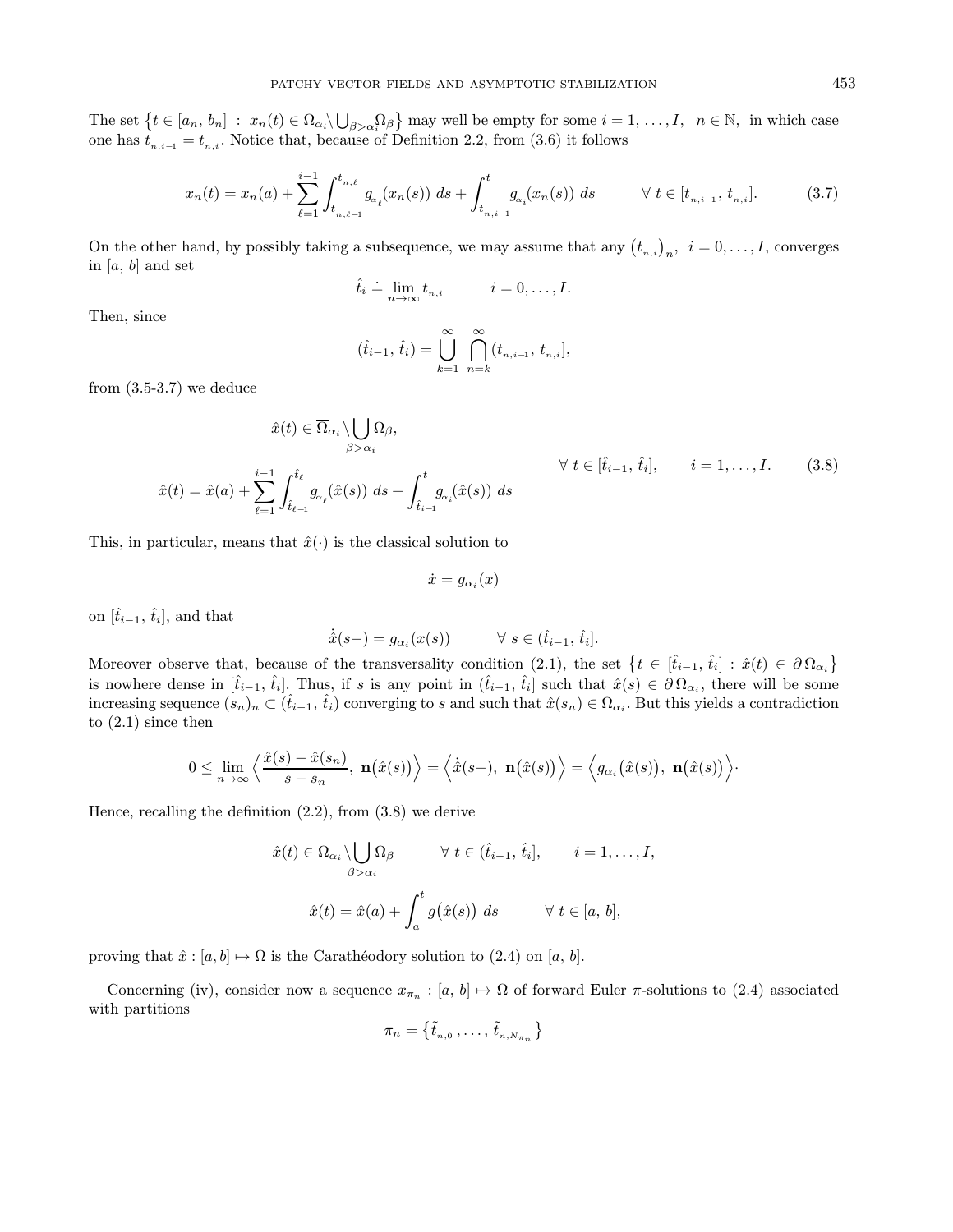The set  $\{t \in [a_n, b_n] : x_n(t) \in \Omega_{\alpha_i} \setminus \bigcup_{\beta > \alpha_i} \Omega_{\beta}\}\$  may well be empty for some  $i = 1, \ldots, I, n \in \mathbb{N}$ , in which case one has  $t_{n,i-1} = t_{n,i}$ . Notice that, because of Definition 2.2, from (3.6) it follows

$$
x_n(t) = x_n(a) + \sum_{\ell=1}^{i-1} \int_{t_{n,\ell-1}}^{t_{n,\ell}} g_{\alpha_\ell}(x_n(s)) \, ds + \int_{t_{n,i-1}}^t g_{\alpha_i}(x_n(s)) \, ds \qquad \forall \ t \in [t_{n,i-1}, t_{n,i}]. \tag{3.7}
$$

On the other hand, by possibly taking a subsequence, we may assume that any  $(t_{n,i})_n$ ,  $i = 0, \ldots, I$ , converges in  $[a, b]$  and set

$$
\hat{t}_i \doteq \lim_{n \to \infty} t_{n,i} \qquad i = 0, \dots, I.
$$

Then, since

$$
(\hat{t}_{i-1}, \hat{t}_i) = \bigcup_{k=1}^{\infty} \bigcap_{n=k}^{\infty} (t_{n,i-1}, t_{n,i}],
$$

from  $(3.5-3.7)$  we deduce

$$
\hat{x}(t) \in \overline{\Omega}_{\alpha_i} \setminus \bigcup_{\beta > \alpha_i} \Omega_{\beta},
$$
\n
$$
\hat{x}(t) = \hat{x}(a) + \sum_{\ell=1}^{i-1} \int_{\hat{t}_{\ell-1}}^{\hat{t}_{\ell}} g_{\alpha_{\ell}}(\hat{x}(s)) \ ds + \int_{\hat{t}_{i-1}}^{t} g_{\alpha_i}(\hat{x}(s)) \ ds
$$
\n
$$
\forall \ t \in [\hat{t}_{i-1}, \hat{t}_i], \qquad i = 1, \dots, I. \tag{3.8}
$$

This, in particular, means that  $\hat{x}(\cdot)$  is the classical solution to

$$
\dot{x} = g_{\alpha_i}(x)
$$

on  $[\hat{t}_{i-1}, \hat{t}_i]$ , and that

$$
\dot{\hat{x}}(s-) = g_{\alpha_i}(x(s)) \qquad \forall \ s \in (\hat{t}_{i-1}, \, \hat{t}_i].
$$

Moreover observe that, because of the transversality condition (2.1), the set  $\{t \in [\hat{t}_{i-1}, \hat{t}_i] : \hat{x}(t) \in \partial \Omega_{\alpha_i}\}\$ is nowhere dense in  $[\hat{t}_{i-1}, \hat{t}_i]$ . Thus, if s is any point in  $(\hat{t}_{i-1}, \hat{t}_i]$  such that  $\hat{x}(s) \in \partial \Omega_{\alpha_i}$ , there will be some increasing sequence  $(s_n)_n \subset (\hat{t}_{i-1}, \hat{t}_i)$  converging to s and such that  $\hat{x}(s_n) \in \Omega_{\alpha_i}$ . But this yields a contradiction to (2.1) since then

$$
0 \leq \lim_{n \to \infty} \left\langle \frac{\hat{x}(s) - \hat{x}(s_n)}{s - s_n}, \mathbf{n}(\hat{x}(s)) \right\rangle = \left\langle \dot{\hat{x}}(s-), \mathbf{n}(\hat{x}(s)) \right\rangle = \left\langle g_{\alpha_i}(\hat{x}(s)), \mathbf{n}(\hat{x}(s)) \right\rangle.
$$

Hence, recalling the definition (2.2), from (3.8) we derive

$$
\hat{x}(t) \in \Omega_{\alpha_i} \setminus \bigcup_{\beta > \alpha_i} \Omega_{\beta} \qquad \forall t \in (\hat{t}_{i-1}, \hat{t}_i], \qquad i = 1, \dots, I,
$$

$$
\hat{x}(t) = \hat{x}(a) + \int_a^t g(\hat{x}(s)) \ ds \qquad \forall t \in [a, b],
$$

proving that  $\hat{x} : [a, b] \mapsto \Omega$  is the Carathéodory solution to (2.4) on [a, b].

Concerning (iv), consider now a sequence  $x_{\pi_n} : [a, b] \mapsto \Omega$  of forward Euler  $\pi$ -solutions to (2.4) associated with partitions

$$
\pi_n=\left\{\tilde{t}_{_{n,0}}\,,\ldots,\,\tilde{t}_{_{n,N_{\pi_n}}}\right\}
$$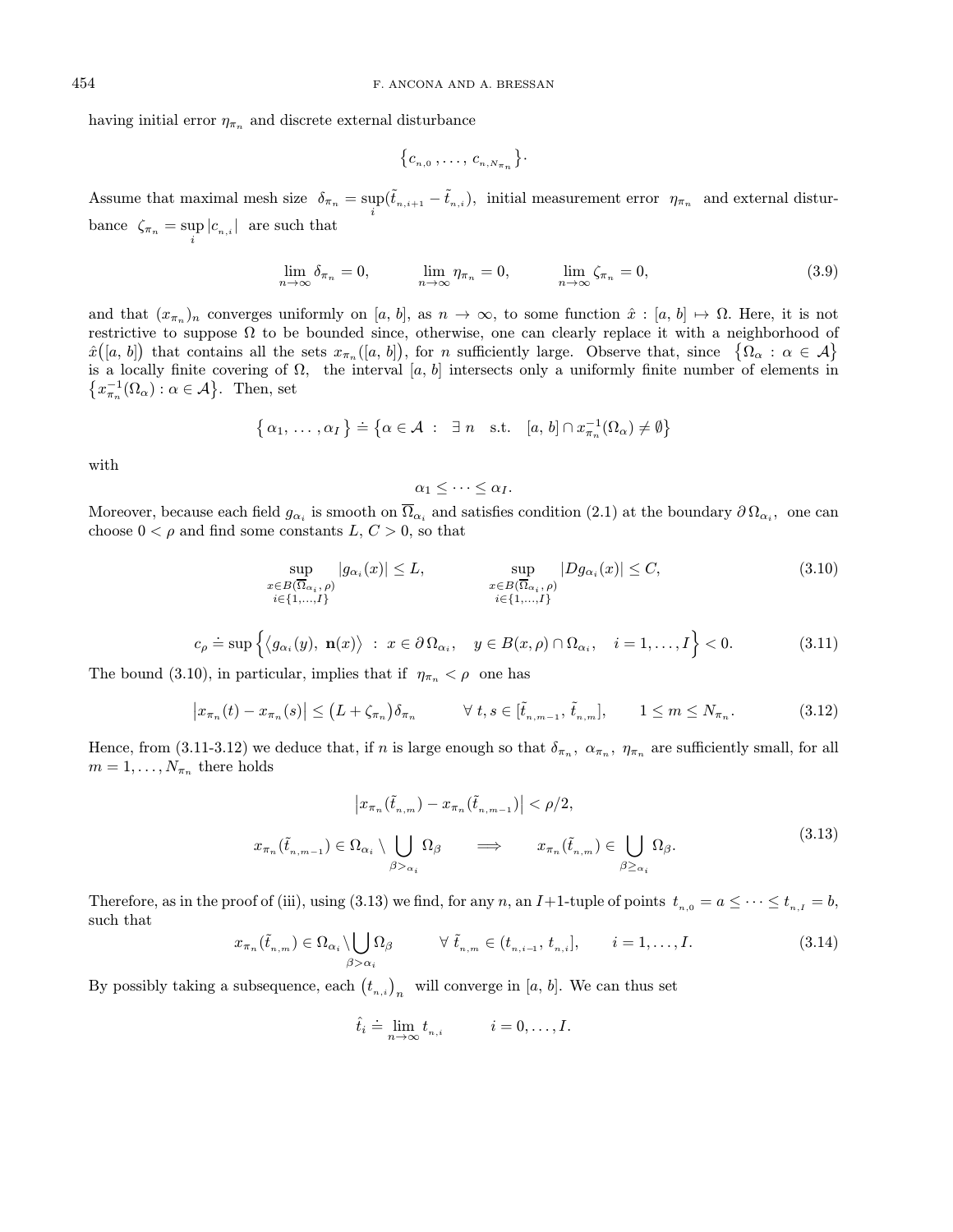having initial error  $\eta_{\pi_n}$  and discrete external disturbance

$$
\{c_{n,0},\ldots,c_{n,N\pi n}\}.
$$

Assume that maximal mesh size  $\delta_{\pi_n} = \sup_i (\tilde{t}_{n,i+1} - \tilde{t}_{n,i}),$  initial measurement error  $\eta_{\pi_n}$  and external disturbance  $\zeta_{\pi_n} = \sup_i |c_{n,i}|$  are such that

$$
\lim_{n \to \infty} \delta_{\pi_n} = 0, \qquad \lim_{n \to \infty} \eta_{\pi_n} = 0, \qquad \lim_{n \to \infty} \zeta_{\pi_n} = 0,
$$
\n(3.9)

and that  $(x_{\pi_n})_n$  converges uniformly on [a, b], as  $n \to \infty$ , to some function  $\hat{x} : [a, b] \mapsto \Omega$ . Here, it is not restrictive to suppose  $\Omega$  to be bounded since, otherwise, one can clearly replace it with a neighborhood of  $\hat{x}([a, b])$  that contains all the sets  $x_{\pi_n}([a, b])$ , for n sufficiently large. Observe that, since  $\{\Omega_\alpha : \alpha \in \mathcal{A}\}\$ is a locally finite covering of  $\Omega$ , the interval [a, b] intersects only a uniformly finite number of elements in  $\{x_{\pi_n}^{-1}(\Omega_\alpha): \alpha \in \mathcal{A}\}\.$  Then, set

$$
\{\alpha_1, \ldots, \alpha_I\} \doteq \{\alpha \in \mathcal{A} \; : \; \exists n \text{ s.t. } [a, b] \cap x_{\pi_n}^{-1}(\Omega_\alpha) \neq \emptyset\}
$$

with

$$
\alpha_1 \leq \cdots \leq \alpha_I.
$$

Moreover, because each field  $g_{\alpha_i}$  is smooth on  $\overline{\Omega}_{\alpha_i}$  and satisfies condition (2.1) at the boundary  $\partial \Omega_{\alpha_i}$ , one can choose  $0 < \rho$  and find some constants  $L, C > 0$ , so that

$$
\sup_{\substack{x \in B(\overline{\Omega}_{\alpha_i}, \rho) \\ i \in \{1, \dots, I\}}} |g_{\alpha_i}(x)| \le L, \qquad \sup_{\substack{x \in B(\overline{\Omega}_{\alpha_i}, \rho) \\ i \in \{1, \dots, I\}}} |Dg_{\alpha_i}(x)| \le C, \tag{3.10}
$$

$$
c_{\rho} \doteq \sup \left\{ \langle g_{\alpha_i}(y), \mathbf{n}(x) \rangle : x \in \partial \Omega_{\alpha_i}, y \in B(x, \rho) \cap \Omega_{\alpha_i}, i = 1, ..., I \right\} < 0. \tag{3.11}
$$

The bound (3.10), in particular, implies that if  $\eta_{\pi_n} < \rho$  one has

$$
\left|x_{\pi_n}(t)-x_{\pi_n}(s)\right| \leq \left(L+\zeta_{\pi_n}\right)\delta_{\pi_n} \qquad \forall \ t,s \in [\tilde{t}_{n,m-1},\tilde{t}_{n,m}], \qquad 1 \leq m \leq N_{\pi_n}.\tag{3.12}
$$

Hence, from (3.11-3.12) we deduce that, if n is large enough so that  $\delta_{\pi_n}$ ,  $\alpha_{\pi_n}$ ,  $\eta_{\pi_n}$  are sufficiently small, for all  $m = 1, \ldots, N_{\pi_n}$  there holds

$$
\left| x_{\pi_n}(\tilde{t}_{n,m}) - x_{\pi_n}(\tilde{t}_{n,m-1}) \right| < \rho/2,
$$
\n
$$
x_{\pi_n}(\tilde{t}_{n,m-1}) \in \Omega_{\alpha_i} \setminus \bigcup_{\beta > \alpha_i} \Omega_{\beta} \implies x_{\pi_n}(\tilde{t}_{n,m}) \in \bigcup_{\beta \ge \alpha_i} \Omega_{\beta}.
$$
\n
$$
(3.13)
$$

Therefore, as in the proof of (iii), using (3.13) we find, for any n, an I+1-tuple of points  $t_{n,0} = a \leq \cdots \leq t_{n,I} = b$ , such that

$$
x_{\pi_n}(\tilde{t}_{n,m}) \in \Omega_{\alpha_i} \setminus \bigcup_{\beta > \alpha_i} \Omega_{\beta} \qquad \forall \ \tilde{t}_{n,m} \in (t_{n,i-1}, t_{n,i}], \qquad i = 1, \dots, I. \tag{3.14}
$$

By possibly taking a subsequence, each  $(t_{n,i})_n$  will converge in [a, b]. We can thus set

$$
\hat{t}_i \doteq \lim_{n \to \infty} t_{n,i} \qquad i = 0, \dots, I.
$$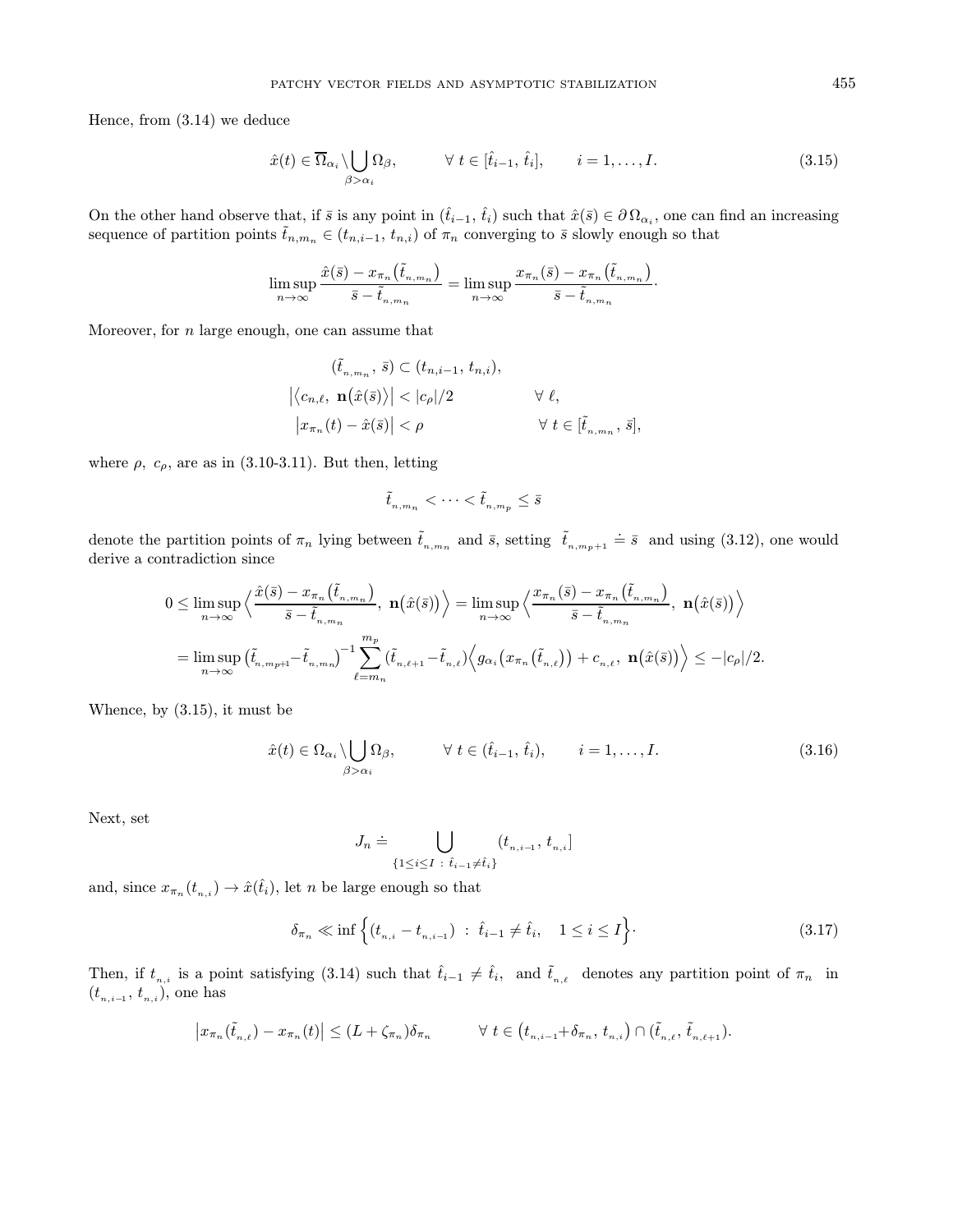Hence, from (3.14) we deduce

$$
\hat{x}(t) \in \overline{\Omega}_{\alpha_i} \setminus \bigcup_{\beta > \alpha_i} \Omega_{\beta}, \qquad \forall \ t \in [\hat{t}_{i-1}, \hat{t}_i], \qquad i = 1, \dots, I. \tag{3.15}
$$

On the other hand observe that, if  $\bar{s}$  is any point in  $(\hat{t}_{i-1}, \hat{t}_i)$  such that  $\hat{x}(\bar{s}) \in \partial \Omega_{\alpha_i}$ , one can find an increasing sequence of partition points  $\tilde{t}_{n,m_n} \in (t_{n,i-1}, t_{n,i})$  of  $\pi_n$  converging to  $\bar{s}$  slowly enough so that

$$
\limsup_{n\to\infty}\frac{\hat{x}(\bar{s})-x_{\pi_n}(\tilde{t}_{n,m_n})}{\bar{s}-\tilde{t}_{n,m_n}}=\limsup_{n\to\infty}\frac{x_{\pi_n}(\bar{s})-x_{\pi_n}(\tilde{t}_{n,m_n})}{\bar{s}-\tilde{t}_{n,m_n}}.
$$

Moreover, for  $n$  large enough, one can assume that

$$
(\tilde{t}_{n,m_n}, \bar{s}) \subset (t_{n,i-1}, t_{n,i}),
$$
  

$$
|\langle c_{n,\ell}, \mathbf{n}(\hat{x}(\bar{s})\rangle| < |c_{\rho}|/2 \qquad \forall \ell,
$$
  

$$
|x_{\pi_n}(t) - \hat{x}(\bar{s})| < \rho \qquad \forall t \in [\tilde{t}_{n,m_n}, \bar{s}],
$$

where  $\rho$ ,  $c_{\rho}$ , are as in (3.10-3.11). But then, letting

$$
\tilde{t}_{\scriptscriptstyle n,m_n}<\cdots<\tilde{t}_{\scriptscriptstyle n,m_p}\leq \bar{s}
$$

denote the partition points of  $\pi_n$  lying between  $\tilde{t}_{n,m_n}$  and  $\bar{s}$ , setting  $\tilde{t}_{n,m_{p+1}} \doteq \bar{s}$  and using (3.12), one would derive a contradiction since

$$
0 \leq \limsup_{n \to \infty} \left\langle \frac{\hat{x}(\bar{s}) - x_{\pi_n}(\tilde{t}_{n,m_n})}{\bar{s} - \tilde{t}_{n,m_n}}, \ \mathbf{n}(\hat{x}(\bar{s})) \right\rangle = \limsup_{n \to \infty} \left\langle \frac{x_{\pi_n}(\bar{s}) - x_{\pi_n}(\tilde{t}_{n,m_n})}{\bar{s} - \tilde{t}_{n,m_n}}, \ \mathbf{n}(\hat{x}(\bar{s})) \right\rangle
$$
  
= 
$$
\limsup_{n \to \infty} (\tilde{t}_{n,m_{p+1}} - \tilde{t}_{n,m_n})^{-1} \sum_{\ell=m_n}^{m_p} (\tilde{t}_{n,\ell+1} - \tilde{t}_{n,\ell}) \left\langle g_{\alpha_i}(x_{\pi_n}(\tilde{t}_{n,\ell})) + c_{n,\ell}, \ \mathbf{n}(\hat{x}(\bar{s})) \right\rangle \leq -|c_p|/2.
$$

Whence, by (3.15), it must be

$$
\hat{x}(t) \in \Omega_{\alpha_i} \setminus \bigcup_{\beta > \alpha_i} \Omega_{\beta}, \qquad \forall \ t \in (\hat{t}_{i-1}, \hat{t}_i), \qquad i = 1, \dots, I. \tag{3.16}
$$

Next, set

$$
J_n \doteq \bigcup_{\{1 \le i \le I \; : \; \hat{t}_{i-1} \neq \hat{t}_i\}} (t_{n,i-1},\, t_{n,i}]
$$

and, since  $x_{\pi_n}(t_{n,i}) \to \hat{x}(\hat{t}_i)$ , let n be large enough so that

$$
\delta_{\pi_n} \ll \inf \left\{ (t_{n,i} - t_{n,i-1}) \ : \ \hat{t}_{i-1} \neq \hat{t}_i, \quad 1 \le i \le I \right\}.
$$
\n(3.17)

Then, if  $t_{n,i}$  is a point satisfying (3.14) such that  $\hat{t}_{i-1} \neq \hat{t}_i$ , and  $\tilde{t}_{n,\ell}$  denotes any partition point of  $\pi_n$  in  $(t_{n,i-1},\,t_{n,i}),$  one has

$$
\left|x_{\pi_n}(\tilde t_{n,\ell})-x_{\pi_n}(t)\right|\leq (L+\zeta_{\pi_n})\delta_{\pi_n}\qquad \quad \forall\,\, t\in \left(t_{n,i-1}+\delta_{\pi_n},\, t_{n,i}\right)\cap (\tilde t_{n,\ell},\, \tilde t_{n,\ell+1}).
$$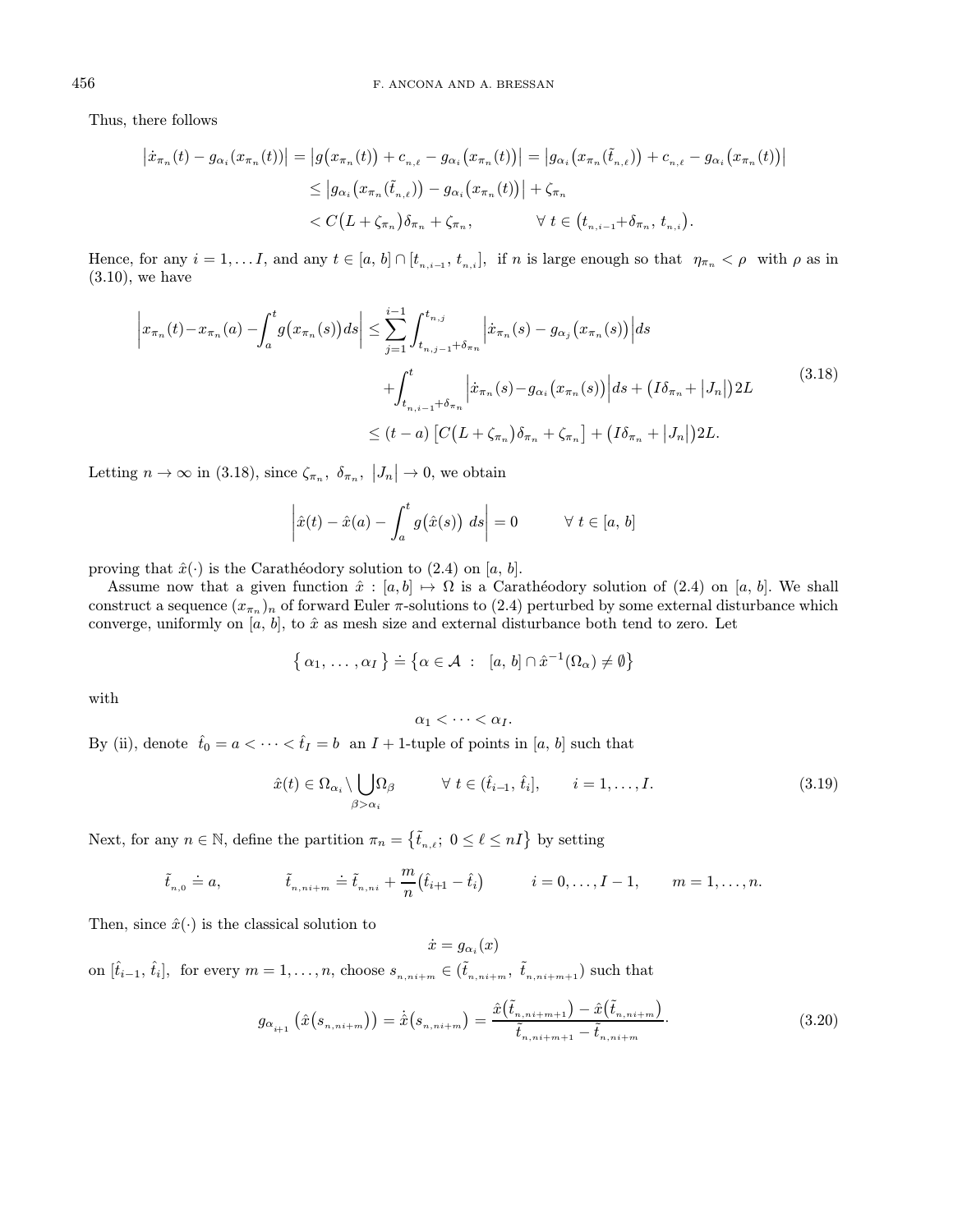Thus, there follows

$$
\begin{aligned} \left| \dot{x}_{\pi_n}(t) - g_{\alpha_i}(x_{\pi_n}(t)) \right| &= \left| g(x_{\pi_n}(t)) + c_{n,\ell} - g_{\alpha_i}(x_{\pi_n}(t)) \right| = \left| g_{\alpha_i}(x_{\pi_n}(\tilde{t}_{n,\ell})) + c_{n,\ell} - g_{\alpha_i}(x_{\pi_n}(t)) \right| \\ &\le \left| g_{\alpha_i}(x_{\pi_n}(\tilde{t}_{n,\ell})) - g_{\alpha_i}(x_{\pi_n}(t)) \right| + \zeta_{\pi_n} \\ &< C\big(L + \zeta_{\pi_n}\big)\delta_{\pi_n} + \zeta_{\pi_n}, \qquad \forall \ t \in \big(t_{n,i-1} + \delta_{\pi_n}, \ t_{n,i}\big). \end{aligned}
$$

Hence, for any  $i = 1, \ldots I$ , and any  $t \in [a, b] \cap [t_{n,i-1}, t_{n,i}]$ , if n is large enough so that  $\eta_{\pi_n} < \rho$  with  $\rho$  as in (3.10), we have

$$
\left| x_{\pi_n}(t) - x_{\pi_n}(a) - \int_a^t g(x_{\pi_n}(s)) ds \right| \le \sum_{j=1}^{i-1} \int_{t_{n,j-1} + \delta_{\pi_n}}^{t_{n,j}} \left| \dot{x}_{\pi_n}(s) - g_{\alpha_j}(x_{\pi_n}(s)) \right| ds
$$
  
+ 
$$
\int_{t_{n,i-1} + \delta_{\pi_n}}^{t} \left| \dot{x}_{\pi_n}(s) - g_{\alpha_i}(x_{\pi_n}(s)) \right| ds + (I\delta_{\pi_n} + |J_n|) 2L
$$
  

$$
\le (t - a) \left[ C\left(L + \zeta_{\pi_n}\right) \delta_{\pi_n} + \zeta_{\pi_n} \right] + \left(I\delta_{\pi_n} + |J_n| \right) 2L.
$$
 (3.18)

Letting  $n \to \infty$  in (3.18), since  $\zeta_{\pi_n}$ ,  $\delta_{\pi_n}$ ,  $|J_n| \to 0$ , we obtain

$$
\left|\hat{x}(t) - \hat{x}(a) - \int_a^t g(\hat{x}(s)) \ ds\right| = 0 \qquad \forall \ t \in [a, b]
$$

proving that  $\hat{x}(\cdot)$  is the Carathéodory solution to (2.4) on [a, b].

Assume now that a given function  $\hat{x} : [a, b] \mapsto \Omega$  is a Carathéodory solution of (2.4) on [a, b]. We shall construct a sequence  $(x_{\pi_n})_n$  of forward Euler  $\pi$ -solutions to (2.4) perturbed by some external disturbance which converge, uniformly on  $[a, b]$ , to  $\hat{x}$  as mesh size and external disturbance both tend to zero. Let

$$
\{\alpha_1, \ldots, \alpha_I\} \doteq \{\alpha \in \mathcal{A} \; : \; [a, b] \cap \hat{x}^{-1}(\Omega_\alpha) \neq \emptyset\}
$$

with

$$
\alpha_1 < \cdots < \alpha_I.
$$

By (ii), denote  $\hat{t}_0 = a < \cdots < \hat{t}_I = b$  an  $I + 1$ -tuple of points in [a, b] such that

$$
\hat{x}(t) \in \Omega_{\alpha_i} \setminus \bigcup_{\beta > \alpha_i} \Omega_{\beta} \qquad \forall \ t \in (\hat{t}_{i-1}, \hat{t}_i], \qquad i = 1, \dots, I. \tag{3.19}
$$

Next, for any  $n \in \mathbb{N}$ , define the partition  $\pi_n = \{\tilde{t}_{n,\ell}; 0 \leq \ell \leq nI\}$  by setting

$$
\tilde{t}_{n,0} = a, \qquad \qquad \tilde{t}_{n,ni+m} = \tilde{t}_{n,ni} + \frac{m}{n} (\hat{t}_{i+1} - \hat{t}_i) \qquad i = 0,\ldots, I-1, \qquad m = 1,\ldots,n.
$$

Then, since  $\hat{x}(\cdot)$  is the classical solution to

 $\dot{x} = g_{\alpha_i}(x)$ on  $[\hat{t}_{i-1}, \hat{t}_i]$ , for every  $m = 1, \ldots, n$ , choose  $s_{n,n+i+m} \in (\tilde{t}_{n,n+i+m}, \tilde{t}_{n,n+i+m+1})$  such that

$$
g_{\alpha_{i+1}}\left(\hat{x}(s_{n,n+i+m})\right) = \dot{\hat{x}}(s_{n,n+i+m}) = \frac{\hat{x}(\tilde{t}_{n,n+i+m+1}) - \hat{x}(\tilde{t}_{n,n+i+m})}{\tilde{t}_{n,n+i+m+1} - \tilde{t}_{n,n+i+m}}.
$$
\n(3.20)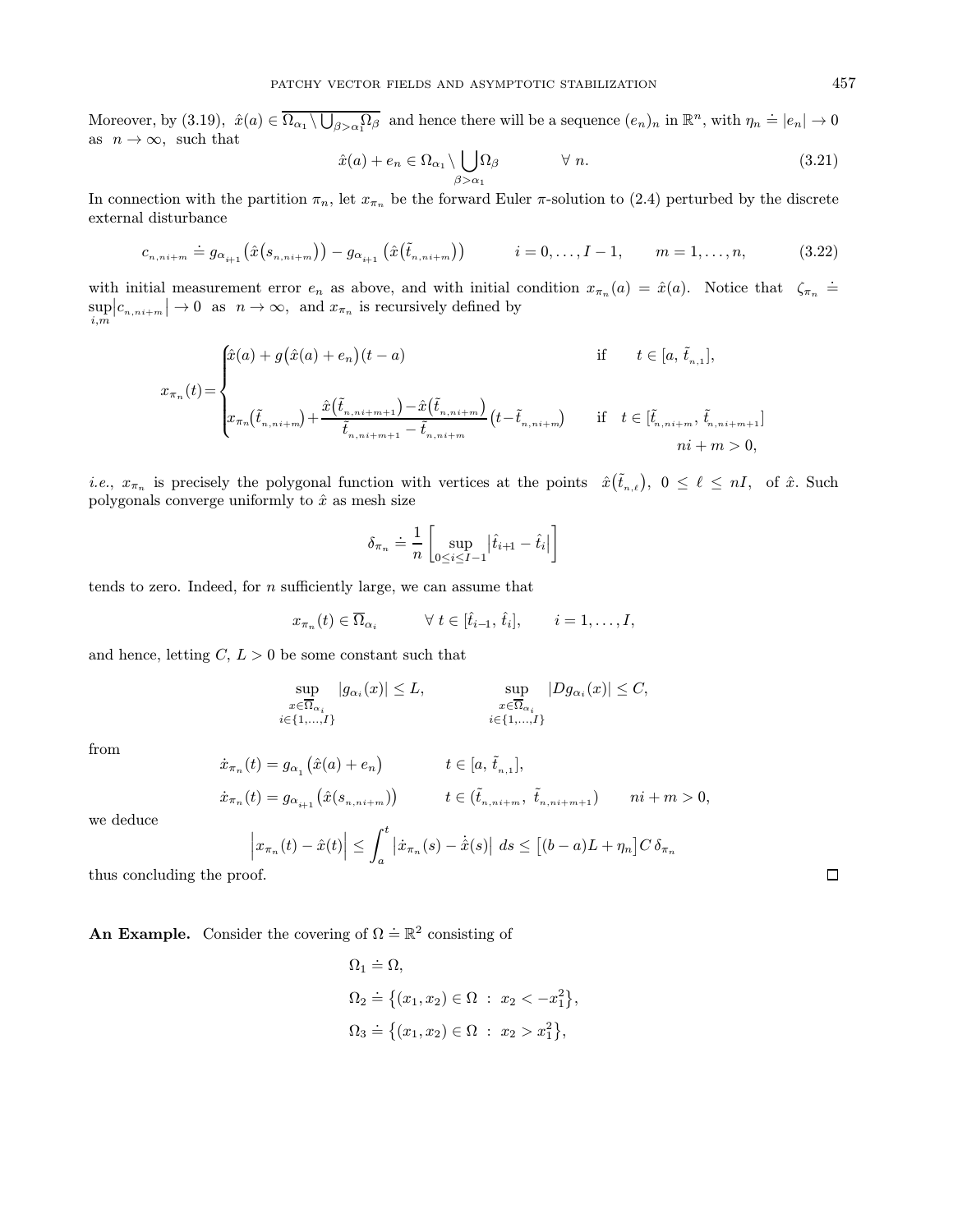Moreover, by (3.19),  $\hat{x}(a) \in \overline{\Omega_{\alpha_1} \setminus \bigcup_{\beta > \alpha_1} \Omega_{\beta}}$  and hence there will be a sequence  $(e_n)_n$  in  $\mathbb{R}^n$ , with  $\eta_n \doteq |e_n| \to 0$ as  $n \to \infty$ , such that

$$
\hat{x}(a) + e_n \in \Omega_{\alpha_1} \setminus \bigcup_{\beta > \alpha_1} \Omega_{\beta} \qquad \forall n. \tag{3.21}
$$

In connection with the partition  $\pi_n$ , let  $x_{\pi_n}$  be the forward Euler  $\pi$ -solution to (2.4) perturbed by the discrete external disturbance

$$
c_{n,n+i+m} = g_{\alpha_{i+1}}(\hat{x}(s_{n,n+i+m})) - g_{\alpha_{i+1}}(\hat{x}(\tilde{t}_{n,n+i+m})) \qquad i = 0,\ldots, I-1, \qquad m = 1,\ldots,n,
$$
 (3.22)

with initial measurement error  $e_n$  as above, and with initial condition  $x_{\pi_n}(a) = \hat{x}(a)$ . Notice that  $\zeta_{\pi_n}$  = sup i,m  $|c_{n,n+1}| \to 0$  as  $n \to \infty$ , and  $x_{\pi_n}$  is recursively defined by

$$
x_{\pi_n}(t) = \begin{cases} \hat{x}(a) + g(\hat{x}(a) + e_n)(t - a) & \text{if } t \in [a, \tilde{t}_{n,1}], \\ \\\\ x_{\pi_n}(\tilde{t}_{n,ni+m}) + \frac{\hat{x}(\tilde{t}_{n,ni+m+1}) - \hat{x}(\tilde{t}_{n,ni+m})}{\tilde{t}_{n,ni+m+1} - \tilde{t}_{n,ni+m}}(t - \tilde{t}_{n,ni+m}) & \text{if } t \in [\tilde{t}_{n,ni+m}, \tilde{t}_{n,ni+m+1}] \\ \text{if } n \in [a, n, i+m, j, n, i+m, j, n, i+m, j, n, i+m, j, n, i+m, j, n, i+m, j, n, i+m, j, n, i+m, j, n, i+m, j, n, i+m, j, n, i+m, j, n, i+m, j, n, i+m, j, n, i+m, j, n, i+m, j, n, i+m, j, n, i+m, j, n, i+m, j, n, i+m, j, n, i+m, j, n, i+m, j, n, i+m, j, n, i+m, j, n, i+m, j, n, i+m, j, n, i+m, j, n, i+m, j, n, i+m, j, n, i+m, j, n, i+m, j, n, i+m, j, n, i+m, j, n, i+m, j, n, i+m, j, n, i+m, j, n, i+m, j, n, i+m, j, n, i+m, j, n, i+m, j, n, i+m, j, n, i+m, j, n, i+m, j, n, i+m, j, n, i+m, j, n, i+m, j, n, i+m, j, n, i+m, j, n, i+m, j, n, i+m, j, n, i+m, j, n, i+m, j, n, i+m, j, n, i+m, j, n, i+m, j, n, i+m, j, n, i+m, j, n, i+m, j, n, i+m, j, n, i+m, j, n, i+m, j, n, i+m, j, n, i+m, j, n, i+m, j, n, i+m, j, n, i+m, j, n, i+m, j, n, i+m, j, n, i+m, j, n, i+m, j, n, i+m, j, n, i+m, j, n, i+m, j, n, i+m, j, n, i+m, j, n, i+m, j, n, i+m, j, n, i+m, j, n, i+m, j, n, i+m, j, n, i+m, j,
$$

*i.e.*,  $x_{\pi_n}$  is precisely the polygonal function with vertices at the points  $\hat{x}(\tilde{t}_{n,\ell}), 0 \leq \ell \leq nI$ , of  $\hat{x}$ . Such polygonals converge uniformly to  $\hat{x}$  as mesh size

$$
\delta_{\pi_n} \doteq \frac{1}{n} \left[ \sup_{0 \le i \le I-1} \left| \hat{t}_{i+1} - \hat{t}_i \right| \right]
$$

tends to zero. Indeed, for  $n$  sufficiently large, we can assume that

$$
x_{\pi_n}(t) \in \overline{\Omega}_{\alpha_i} \qquad \forall t \in [\hat{t}_{i-1}, \hat{t}_i], \qquad i = 1, \ldots, I,
$$

and hence, letting  $C, L > 0$  be some constant such that

$$
\sup_{\substack{x \in \overline{\Omega}_{\alpha_i} \\ i \in \{1, \dots, I\}}} |g_{\alpha_i}(x)| \le L, \qquad \sup_{\substack{x \in \overline{\Omega}_{\alpha_i} \\ i \in \{1, \dots, I\}}} |Dg_{\alpha_i}(x)| \le C,
$$

from

$$
\dot{x}_{\pi_n}(t) = g_{\alpha_1}(\hat{x}(a) + e_n) \qquad t \in [a, \tilde{t}_{n,1}],
$$
  

$$
\dot{x}_{\pi_n}(t) = g_{\alpha_{i+1}}(\hat{x}(s_{n,n+i+m})) \qquad t \in (\tilde{t}_{n,n+i+m}, \tilde{t}_{n,n+i+m+1}) \qquad ni+m > 0,
$$

we deduce

$$
\left|x_{\pi_n}(t) - \hat{x}(t)\right| \leq \int_a^t \left|\dot{x}_{\pi_n}(s) - \dot{\hat{x}}(s)\right| \, ds \leq \left[(b-a)L + \eta_n\right] C \, \delta_{\pi_n}
$$

thus concluding the proof.

**An Example.** Consider the covering of  $\Omega \doteq \mathbb{R}^2$  consisting of

$$
\Omega_1 \doteq \Omega,
$$
  
\n
$$
\Omega_2 \doteq \{(x_1, x_2) \in \Omega : x_2 < -x_1^2\},
$$
  
\n
$$
\Omega_3 \doteq \{(x_1, x_2) \in \Omega : x_2 > x_1^2\},
$$

 $\Box$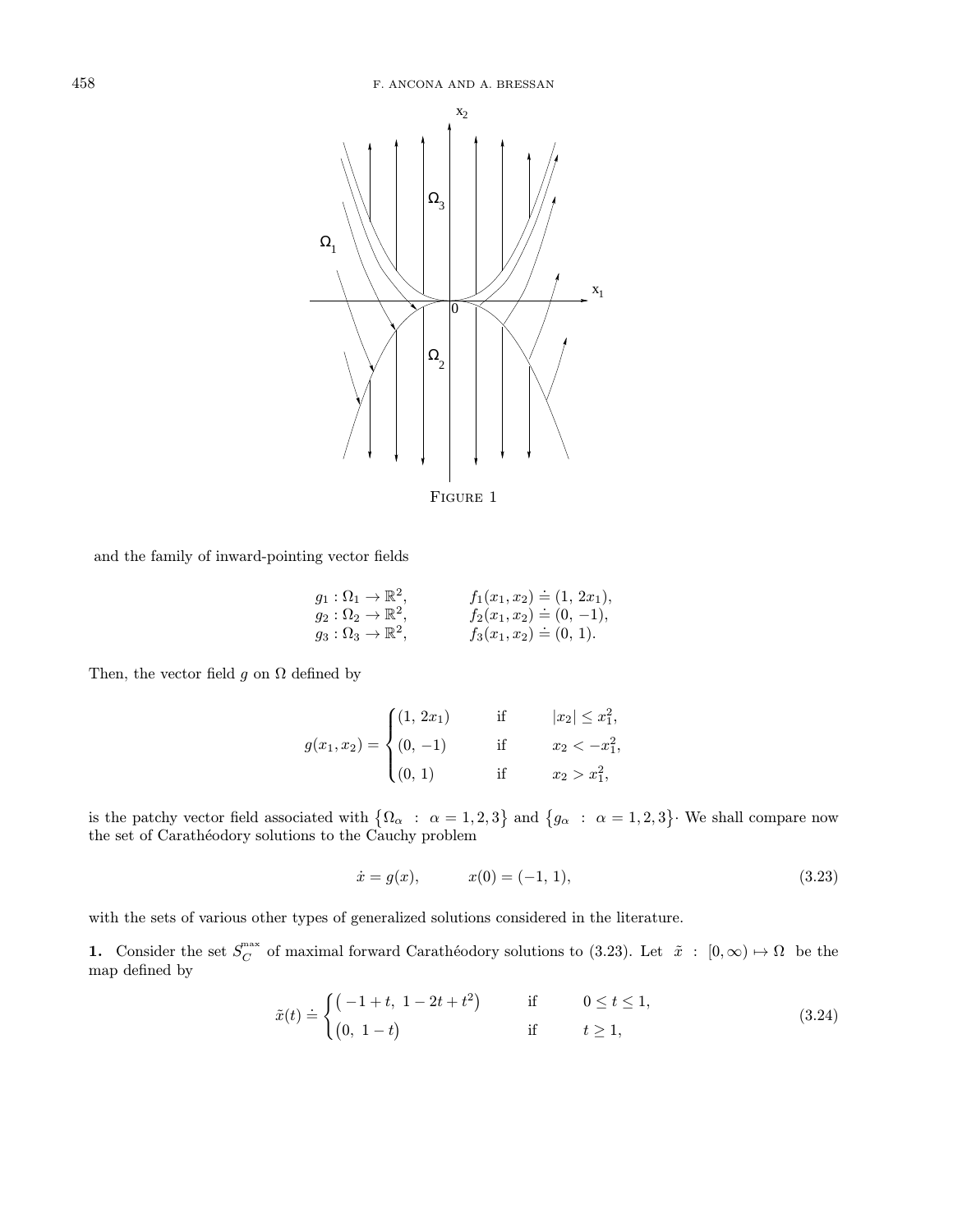

Figure 1

and the family of inward-pointing vector fields

$$
g_1 : \Omega_1 \to \mathbb{R}^2
$$
,  $f_1(x_1, x_2) = (1, 2x_1)$ ,  
\n $g_2 : \Omega_2 \to \mathbb{R}^2$ ,  $f_2(x_1, x_2) = (0, -1)$ ,  
\n $g_3 : \Omega_3 \to \mathbb{R}^2$ ,  $f_3(x_1, x_2) = (0, 1)$ .

Then, the vector field g on  $\Omega$  defined by

$$
g(x_1, x_2) = \begin{cases} (1, 2x_1) & \text{if } |x_2| \le x_1^2, \\ (0, -1) & \text{if } x_2 < -x_1^2, \\ (0, 1) & \text{if } x_2 > x_1^2, \end{cases}
$$

is the patchy vector field associated with  $\{\Omega_{\alpha} : \alpha = 1, 2, 3\}$  and  $\{g_{\alpha} : \alpha = 1, 2, 3\}$ . We shall compare now the set of Carathéodory solutions to the Cauchy problem

$$
\dot{x} = g(x), \qquad x(0) = (-1, 1), \tag{3.23}
$$

with the sets of various other types of generalized solutions considered in the literature.

1. Consider the set  $S_C^{\max}$  of maximal forward Carathéodory solutions to (3.23). Let  $\tilde{x}$  :  $[0,\infty) \mapsto \Omega$  be the map defined by

$$
\tilde{x}(t) \doteq \begin{cases}\n(-1+t, 1-2t+t^2) & \text{if } 0 \le t \le 1, \\
(0, 1-t) & \text{if } t \ge 1,\n\end{cases}
$$
\n(3.24)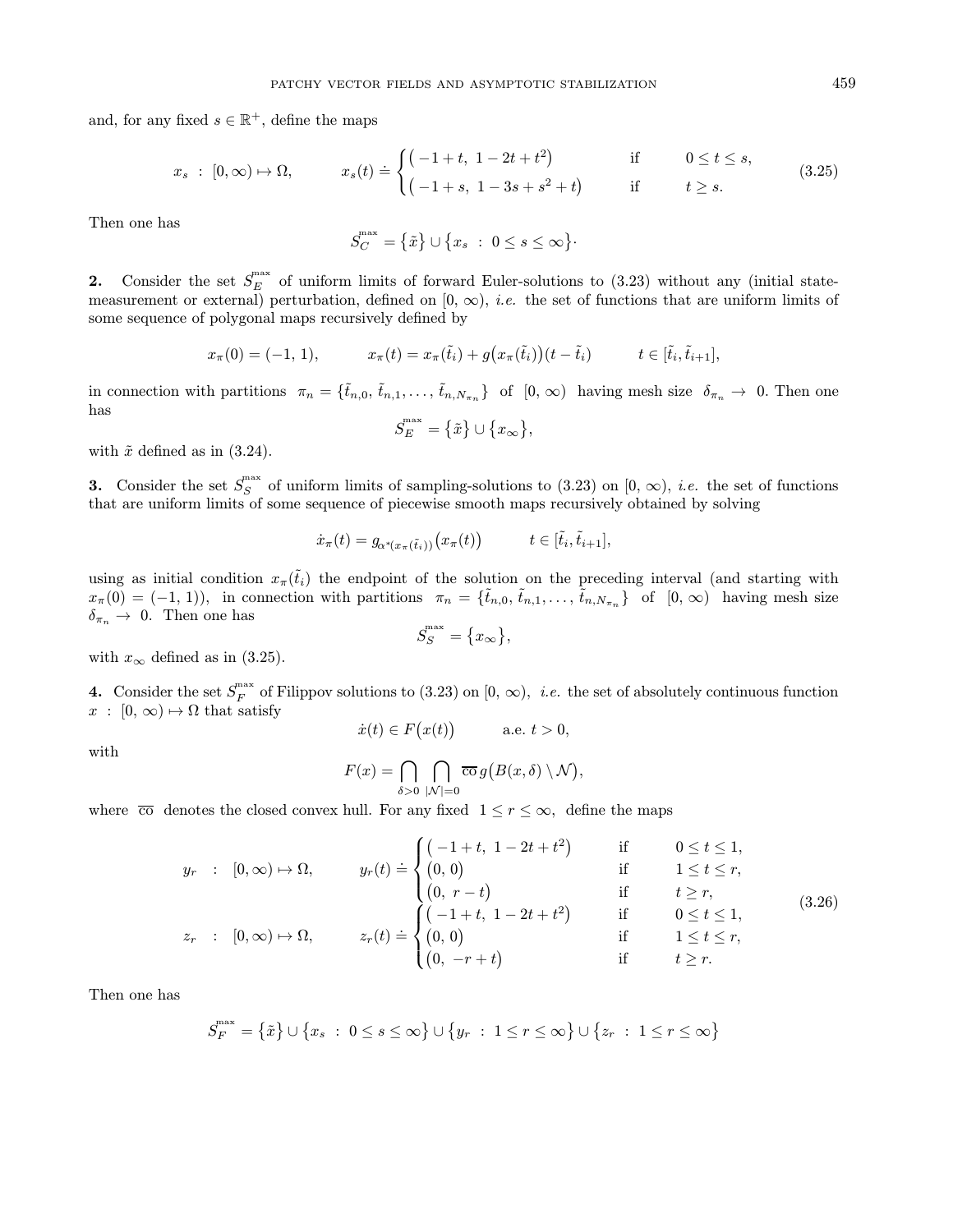and, for any fixed  $s \in \mathbb{R}^+$ , define the maps

$$
x_s : [0, \infty) \mapsto \Omega, \qquad x_s(t) \doteq \begin{cases} (-1+t, 1-2t+t^2) & \text{if } 0 \le t \le s, \\ (-1+s, 1-3s+s^2+t) & \text{if } t \ge s. \end{cases}
$$
 (3.25)

Then one has

$$
S_C^{\max} = \left\{ \tilde{x} \right\} \cup \left\{ x_s \ : \ 0 \le s \le \infty \right\}.
$$

2. Consider the set  $S_E^{\text{max}}$  of uniform limits of forward Euler-solutions to (3.23) without any (initial statemeasurement or external) perturbation, defined on  $[0, \infty)$ , *i.e.* the set of functions that are uniform limits of some sequence of polygonal maps recursively defined by

$$
x_{\pi}(0) = (-1, 1),
$$
  $x_{\pi}(t) = x_{\pi}(\tilde{t}_{i}) + g(x_{\pi}(\tilde{t}_{i}))(t - \tilde{t}_{i})$   $t \in [\tilde{t}_{i}, \tilde{t}_{i+1}],$ 

in connection with partitions  $\pi_n = \{\tilde{t}_{n,0}, \tilde{t}_{n,1}, \ldots, \tilde{t}_{n,N_{\pi_n}}\}$  of  $[0, \infty)$  having mesh size  $\delta_{\pi_n} \to 0$ . Then one has

$$
S_{E}^{\max }=\left\{ \tilde{x}\right\} \cup \big\{ x_{\infty }\big\} ,
$$

with  $\tilde{x}$  defined as in (3.24).

**3.** Consider the set  $S_S^{\text{max}}$  of uniform limits of sampling-solutions to (3.23) on  $[0, \infty)$ , *i.e.* the set of functions that are uniform limits of some sequence of piecewise smooth maps recursively obtained by solving

$$
\dot{x}_{\pi}(t) = g_{\alpha^*(x_{\pi}(\tilde{t}_i))}(x_{\pi}(t)) \qquad t \in [\tilde{t}_i, \tilde{t}_{i+1}],
$$

using as initial condition  $x_{\pi}(\tilde{t}_i)$  the endpoint of the solution on the preceding interval (and starting with  $x_{\pi}(0) = (-1, 1)$ , in connection with partitions  $\pi_n = {\tilde{t}_{n,0}, \tilde{t}_{n,1}, \ldots, \tilde{t}_{n,N_{\pi_n}}}$  of  $[0, \infty)$  having mesh size  $\delta_{\pi_n} \to 0$ . Then one has

$$
S_S^{\max} = \{x_{\infty}\},\
$$

with  $x_{\infty}$  defined as in (3.25).

4. Consider the set  $S_F^{\max}$  of Filippov solutions to (3.23) on [0,  $\infty$ ), *i.e.* the set of absolutely continuous function  $x : [0, \infty) \mapsto \Omega$  that satisfy

$$
\dot{x}(t) \in F(x(t)) \quad \text{a.e. } t > 0,
$$

with

$$
F(x) = \bigcap_{\delta > 0} \bigcap_{|\mathcal{N}|=0} \overline{\mathrm{co}} \, g\big(B(x,\delta) \setminus \mathcal{N}\big),
$$

where  $\overline{co}$  denotes the closed convex hull. For any fixed  $1 \leq r \leq \infty$ , define the maps

$$
y_r : [0, \infty) \mapsto \Omega, \qquad y_r(t) \doteq \begin{cases} (-1+t, 1-2t+t^2) & \text{if } 0 \le t \le 1, \\ (0, 0) & \text{if } 1 \le t \le r, \\ (0, r-t) & \text{if } t \ge r, \\ (r-t-t) & \text{if } 0 \le t \le 1, \\ (0, \infty) \mapsto \Omega, \qquad z_r(t) \doteq \begin{cases} (-1+t, 1-2t+t^2) & \text{if } 0 \le t \le 1, \\ (0, 0) & \text{if } 1 \le t \le r, \\ (0, -r+t) & \text{if } t \ge r. \end{cases} \qquad (3.26)
$$

Then one has

$$
S_F^{\max} = \{\tilde{x}\} \cup \{x_s \; : \; 0 \le s \le \infty\} \cup \{y_r \; : \; 1 \le r \le \infty\} \cup \{z_r \; : \; 1 \le r \le \infty\}
$$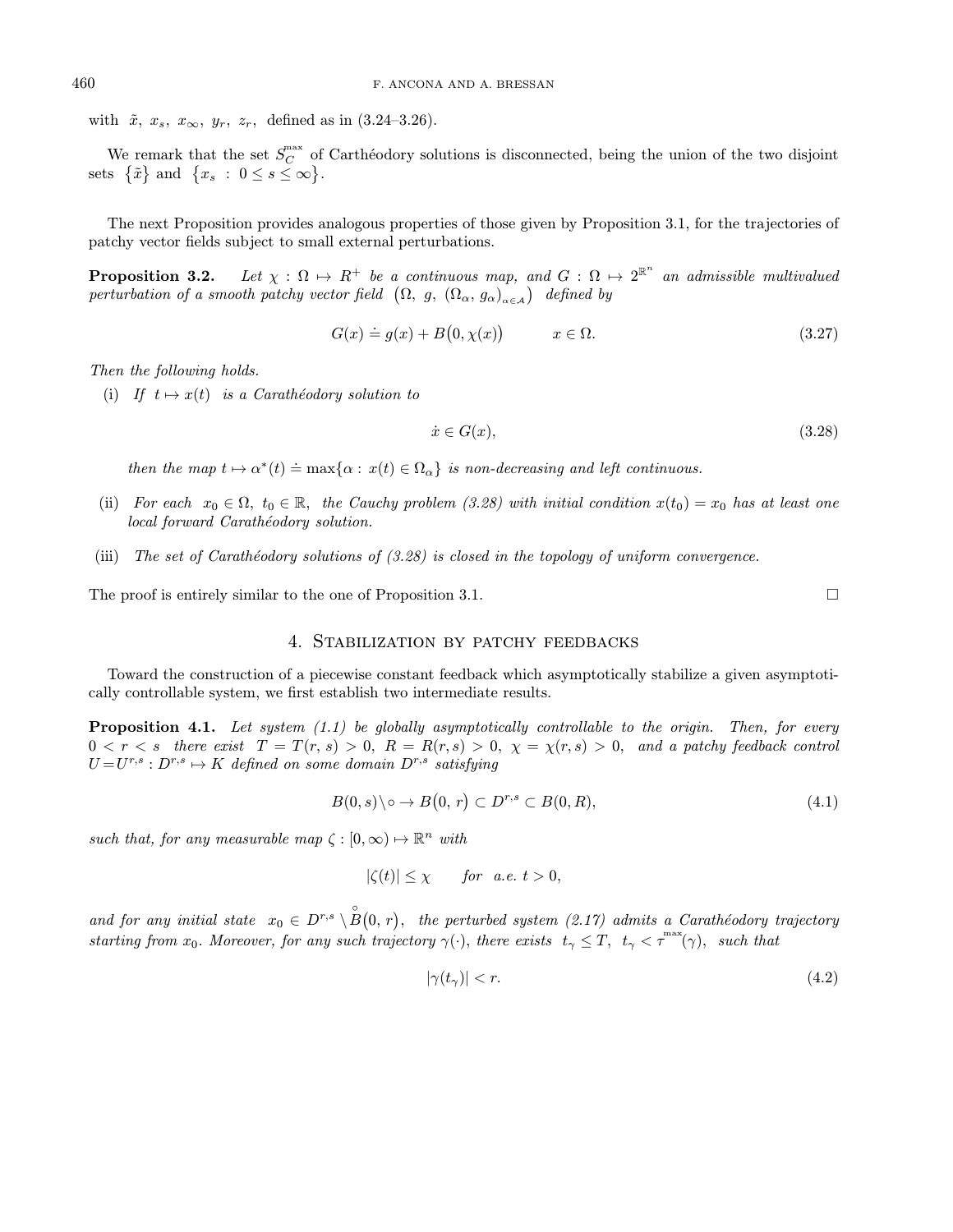with  $\tilde{x}$ ,  $x_s$ ,  $x_{\infty}$ ,  $y_r$ ,  $z_r$ , defined as in (3.24–3.26).

We remark that the set  $S_C^{\text{max}}$  of Carthéodory solutions is disconnected, being the union of the two disjoint sets  $\{\tilde{x}\}\$ and  $\{x_s : 0 \le s \le \infty\}.$ 

The next Proposition provides analogous properties of those given by Proposition 3.1, for the trajectories of patchy vector fields subject to small external perturbations.

**Proposition 3.2.** Let  $\chi : \Omega \mapsto R^+$  be a continuous map, and  $G : \Omega \mapsto 2^{\mathbb{R}^n}$  an admissible multivalued perturbation of a smooth patchy vector field  $(\Omega, g, (\Omega_{\alpha}, g_{\alpha})_{\alpha \in A})$  defined by

$$
G(x) \doteq g(x) + B(0, \chi(x)) \qquad x \in \Omega.
$$
\n(3.27)

Then the following holds.

(i) If  $t \mapsto x(t)$  is a Carathéodory solution to

$$
\dot{x} \in G(x),\tag{3.28}
$$

then the map  $t \mapsto \alpha^*(t) \doteq \max\{\alpha : x(t) \in \Omega_\alpha\}$  is non-decreasing and left continuous.

- (ii) For each  $x_0 \in \Omega$ ,  $t_0 \in \mathbb{R}$ , the Cauchy problem (3.28) with initial condition  $x(t_0) = x_0$  has at least one local forward Carathéodory solution.
- (iii) The set of Carathéodory solutions of  $(3.28)$  is closed in the topology of uniform convergence.

The proof is entirely similar to the one of Proposition 3.1.

# 4. Stabilization by patchy feedbacks

Toward the construction of a piecewise constant feedback which asymptotically stabilize a given asymptotically controllable system, we first establish two intermediate results.

**Proposition 4.1.** Let system  $(1.1)$  be globally asymptotically controllable to the origin. Then, for every  $0 < r < s$  there exist  $T = T(r, s) > 0$ ,  $R = R(r, s) > 0$ ,  $\chi = \chi(r, s) > 0$ , and a patchy feedback control  $U = U^{r,s}: D^{r,s} \mapsto K$  defined on some domain  $D^{r,s}$  satisfying

$$
B(0,s)\backslash\circ \to B(0,r)\subset D^{r,s}\subset B(0,R),\tag{4.1}
$$

such that, for any measurable map  $\zeta : [0, \infty) \mapsto \mathbb{R}^n$  with

$$
|\zeta(t)| \le \chi \quad \text{for a.e. } t > 0,
$$

and for any initial state  $x_0 \in D^{r,s} \setminus \overset{\circ}{B}(0,r)$ , the perturbed system (2.17) admits a Carathéodory trajectory starting from  $x_0$ . Moreover, for any such trajectory  $\gamma(\cdot)$ , there exists  $t_\gamma \leq T$ ,  $t_\gamma < \tau^{max}(\gamma)$ , such that

$$
|\gamma(t_{\gamma})| < r. \tag{4.2}
$$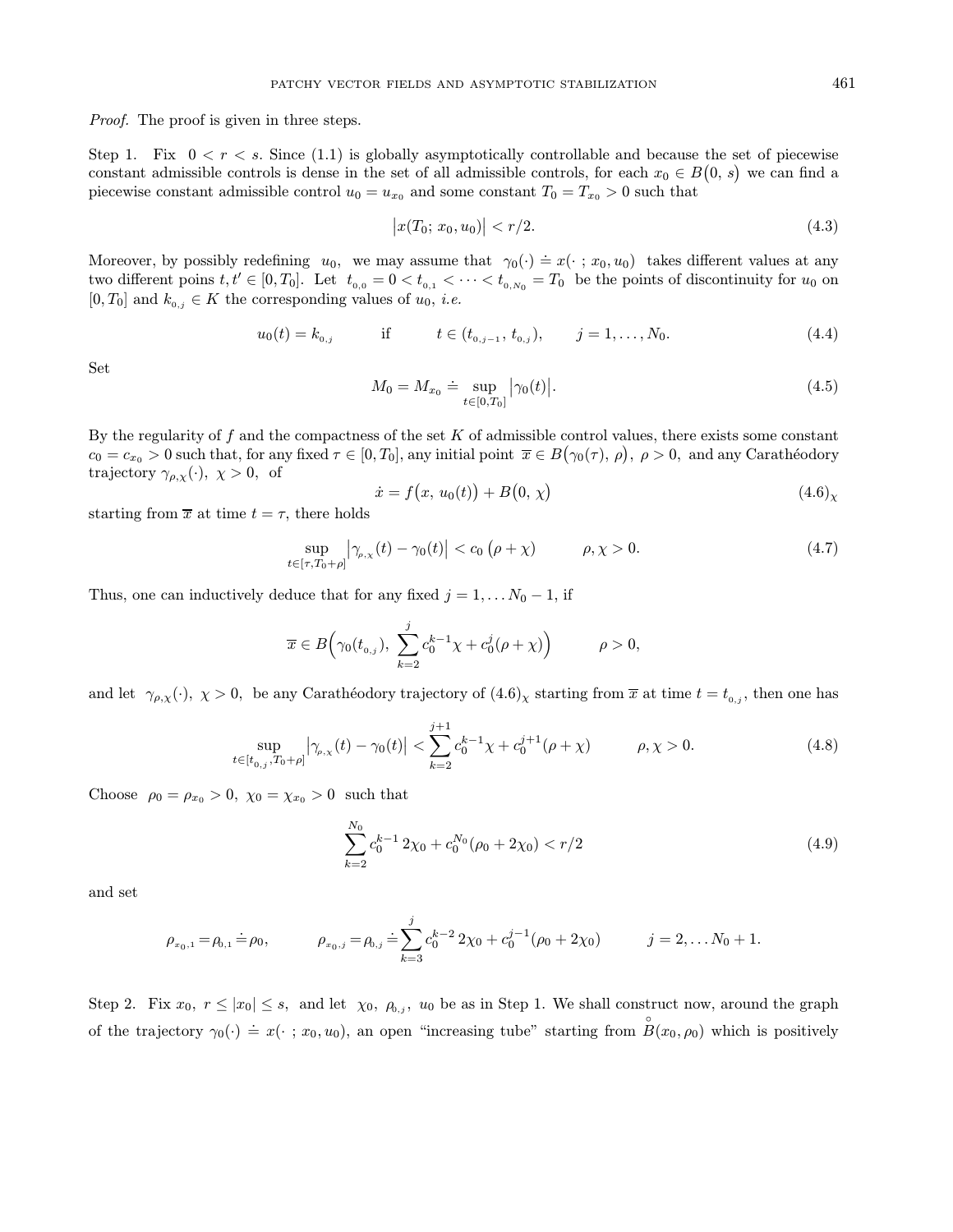Proof. The proof is given in three steps.

Step 1. Fix  $0 < r < s$ . Since (1.1) is globally asymptotically controllable and because the set of piecewise constant admissible controls is dense in the set of all admissible controls, for each  $x_0 \in B(0, s)$  we can find a piecewise constant admissible control  $u_0 = u_{x_0}$  and some constant  $T_0 = T_{x_0} > 0$  such that

$$
|x(T_0; x_0, u_0)| < r/2. \tag{4.3}
$$

Moreover, by possibly redefining  $u_0$ , we may assume that  $\gamma_0(\cdot) \doteq x(\cdot \,; x_0, u_0)$  takes different values at any two different poins  $t, t' \in [0, T_0]$ . Let  $t_{0,0} = 0 < t_{0,1} < \cdots < t_{0,N_0} = T_0$  be the points of discontinuity for  $u_0$  on  $[0, T_0]$  and  $k_{0,i} \in K$  the corresponding values of  $u_0$ , *i.e.* 

$$
u_0(t) = k_{0,j} \qquad \text{if} \qquad t \in (t_{0,j-1}, t_{0,j}), \qquad j = 1, \dots, N_0. \tag{4.4}
$$

Set

$$
M_0 = M_{x_0} \doteq \sup_{t \in [0, T_0]} |\gamma_0(t)|. \tag{4.5}
$$

By the regularity of  $f$  and the compactness of the set  $K$  of admissible control values, there exists some constant  $c_0 = c_{x_0} > 0$  such that, for any fixed  $\tau \in [0, T_0]$ , any initial point  $\overline{x} \in B(\gamma_0(\tau), \rho)$ ,  $\rho > 0$ , and any Carathéodory trajectory  $\gamma_{\rho,\chi}(\cdot)$ ,  $\chi > 0$ , of

$$
\dot{x} = f(x, u_0(t)) + B(0, \chi) \tag{4.6}
$$

starting from  $\bar{x}$  at time  $t = \tau$ , there holds

$$
\sup_{t \in [\tau, T_0 + \rho]} |\gamma_{\rho, \chi}(t) - \gamma_0(t)| < c_0 (\rho + \chi) \qquad \rho, \chi > 0.
$$
 (4.7)

Thus, one can inductively deduce that for any fixed  $j = 1, \ldots N_0 - 1$ , if

$$
\overline{x}\in B\Big(\gamma_0(t_{0,j}),\ \sum_{k=2}^j c_0^{k-1}\chi+c_0^j(\rho+\chi)\Big)\hspace{10mm}\rho>0,
$$

and let  $\gamma_{\rho,\chi}(\cdot)$ ,  $\chi > 0$ , be any Carathéodory trajectory of  $(4.6)_{\chi}$  starting from  $\overline{x}$  at time  $t = t_{0,j}$ , then one has

$$
\sup_{t \in [t_{0,j}, T_0 + \rho]} |\gamma_{\rho,\chi}(t) - \gamma_0(t)| < \sum_{k=2}^{j+1} c_0^{k-1} \chi + c_0^{j+1} (\rho + \chi) \qquad \rho, \chi > 0.
$$
 (4.8)

Choose  $\rho_0 = \rho_{x_0} > 0$ ,  $\chi_0 = \chi_{x_0} > 0$  such that

$$
\sum_{k=2}^{N_0} c_0^{k-1} 2\chi_0 + c_0^{N_0} (\rho_0 + 2\chi_0) < r/2 \tag{4.9}
$$

and set

$$
\rho_{x_0,1} = \rho_{0,1} \doteq \rho_0, \qquad \rho_{x_0,j} = \rho_{0,j} \doteq \sum_{k=3}^j c_0^{k-2} 2\chi_0 + c_0^{j-1} (\rho_0 + 2\chi_0) \qquad j = 2, \ldots N_0 + 1.
$$

Step 2. Fix  $x_0, r \leq |x_0| \leq s$ , and let  $\chi_0, \rho_{0,j}, u_0$  be as in Step 1. We shall construct now, around the graph of the trajectory  $\gamma_0(\cdot) \doteq x(\cdot; x_0, u_0)$ , an open "increasing tube" starting from  $\overset{\circ}{B}(x_0, \rho_0)$  which is positively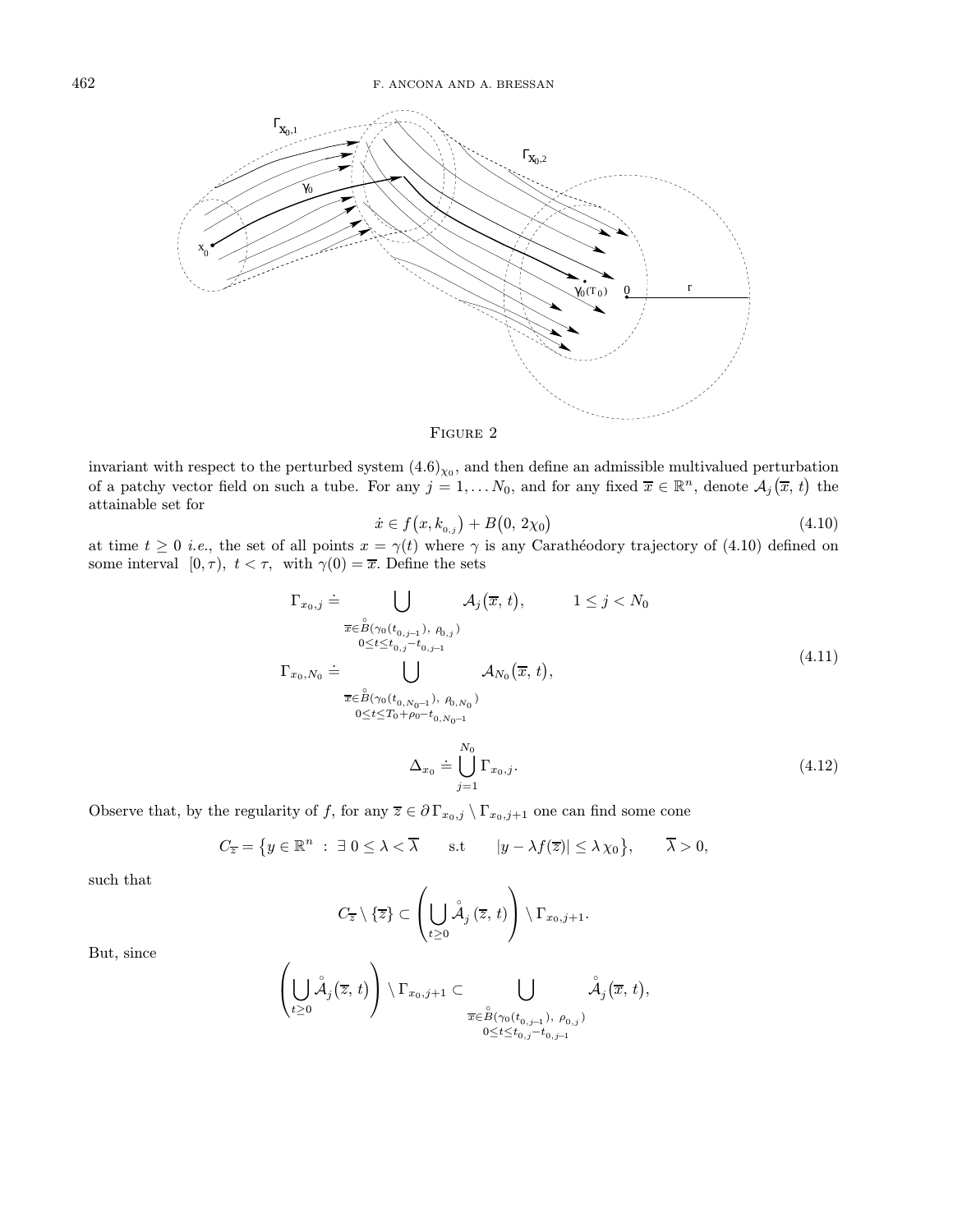



invariant with respect to the perturbed system  $(4.6)_{\chi_0}$ , and then define an admissible multivalued perturbation of a patchy vector field on such a tube. For any  $j = 1, \ldots N_0$ , and for any fixed  $\overline{x} \in \mathbb{R}^n$ , denote  $\mathcal{A}_j(\overline{x}, t)$  the attainable set for

$$
\dot{x} \in f(x, k_{0,j}) + B(0, 2\chi_0) \tag{4.10}
$$

at time  $t \geq 0$  *i.e.*, the set of all points  $x = \gamma(t)$  where  $\gamma$  is any Carathéodory trajectory of (4.10) defined on some interval  $[0, \tau)$ ,  $t < \tau$ , with  $\gamma(0) = \overline{x}$ . Define the sets

$$
\Gamma_{x_0,j} \doteq \bigcup_{\substack{\overline{x} \in \overset{\circ}{B}(\gamma_0(t_{0,j-1}), \rho_{0,j}) \\ 0 \le t \le t_{0,j} - t_{0,j-1}}} \mathcal{A}_j(\overline{x}, t), \qquad 1 \le j < N_0
$$
\n
$$
\Gamma_{x_0,N_0} \doteq \bigcup_{\substack{\overline{x} \in \overset{\circ}{B}(\gamma_0(t_{0,N_0-1}), \rho_{0,N_0}) \\ 0 \le t \le T_0 + \rho_0 - t_{0,N_0-1}}} \mathcal{A}_{N_0}(\overline{x}, t),
$$
\n
$$
\pi_{\overline{x}} \doteq \bigcup_{\substack{\sigma_{\overline{x}} \in \overset{\circ}{B}(\gamma_0(t_{0,N_0-1}), \rho_{0,N_0})}} \mathcal{A}_{N_0}(\overline{x}, t).
$$
\n
$$
\Delta_{x_0} \doteq \bigcup_{\sigma_{\sigma_{\overline{x}}}}^{\infty} \Gamma_{x_0,j}.
$$
\n
$$
(4.12)
$$

Observe that, by the regularity of f, for any  $\overline{z} \in \partial \Gamma_{x_0,j} \setminus \Gamma_{x_0,j+1}$  one can find some cone

$$
C_{\overline{z}} = \{ y \in \mathbb{R}^n : \exists \ 0 \le \lambda < \overline{\lambda} \quad \text{s.t} \quad |y - \lambda f(\overline{z})| \le \lambda \chi_0 \}, \quad \overline{\lambda} > 0,
$$

 $j=1$ 

such that

$$
C_{\overline{z}}\setminus\{\overline{z}\}\subset\left(\bigcup_{t\geq 0}\overset{\circ}{\mathcal{A}}_j(\overline{z},t)\right)\setminus\Gamma_{x_0,j+1}.
$$

But, since

$$
\left(\bigcup_{t\geq 0}\overset{\,\,{}_\circ}{\mathcal{A}}_{j}(\overline{z},\,t)\right)\setminus\Gamma_{x_{0},j+1}\subset\bigcup_{\substack{\overline{x}\in\overset{\,\,{}_\circ}{B}(\gamma_{0}(t_{0,j-1}),\;\rho_{0,j})\\0\leq t\leq t_{0,j}-t_{0,j-1}}} \overset{\,\,{}_\circ}{\mathcal{A}}_{j}(\overline{x},\,t),
$$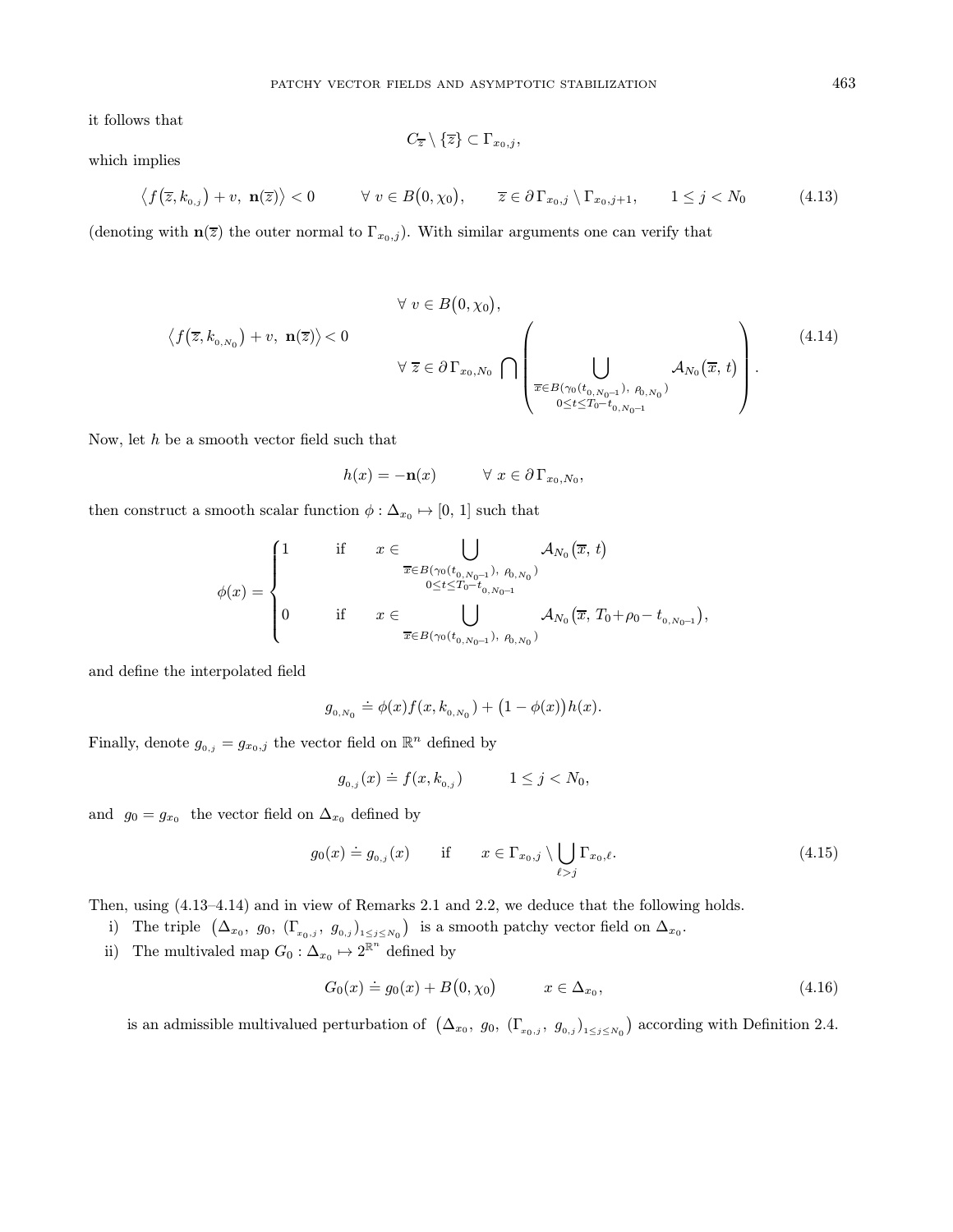it follows that

$$
C_{\overline{z}}\setminus\{\overline{z}\}\subset\Gamma_{x_0,j},
$$

which implies

$$
\langle f(\overline{z},k_{0,j})+v, \mathbf{n}(\overline{z})\rangle < 0 \qquad \forall \ v \in B(0,\chi_0), \qquad \overline{z} \in \partial \Gamma_{x_0,j} \setminus \Gamma_{x_0,j+1}, \qquad 1 \le j < N_0 \tag{4.13}
$$

(denoting with  $\mathbf{n}(\overline{z})$  the outer normal to  $\Gamma_{x_0,j}$ ). With similar arguments one can verify that

$$
\langle f(\overline{z}, k_{0, N_0}) + v, \mathbf{n}(\overline{z}) \rangle < 0
$$
\n
$$
\forall \overline{z} \in \partial \Gamma_{x_0, N_0} \cap \left( \bigcup_{\overline{x} \in B(\gamma_0(t_{0, N_0-1}), \rho_{0, N_0})} A_{N_0}(\overline{x}, t) \right).
$$
\n(4.14)

Now, let  $h$  be a smooth vector field such that

$$
h(x) = -\mathbf{n}(x) \qquad \forall \ x \in \partial \Gamma_{x_0, N_0},
$$

then construct a smooth scalar function  $\phi : \Delta_{x_0} \mapsto [0, 1]$  such that

$$
\phi(x) = \begin{cases} 1 & \text{if } x \in \bigcup_{\overline{x} \in B(\gamma_0(t_{0,N_0-1}), \ P_{0,N_0})} A_{N_0}(\overline{x}, t) \\ & \circ \leq t \leq T_0 - t_{0, N_0-1} \\ 0 & \text{if } x \in \bigcup_{\overline{x} \in B(\gamma_0(t_{0,N_0-1}), \ P_{0,N_0})} A_{N_0}(\overline{x}, T_0 + \rho_0 - t_{0, N_0-1}), \end{cases}
$$

and define the interpolated field

$$
g_{_{0,N_0}} \doteq \phi(x) f(x, k_{_{0,N_0}}) + (1 - \phi(x)) h(x).
$$

Finally, denote  $g_{0,j} = g_{x_0,j}$  the vector field on  $\mathbb{R}^n$  defined by

$$
g_{_{0,j}}(x) \doteq f(x, k_{_{0,j}}) \qquad \quad 1 \le j < N_0,
$$

and  $g_0 = g_{x_0}$  the vector field on  $\Delta_{x_0}$  defined by

$$
g_0(x) \doteq g_{0,j}(x) \quad \text{if} \quad x \in \Gamma_{x_0,j} \setminus \bigcup_{\ell > j} \Gamma_{x_0,\ell}. \tag{4.15}
$$

Then, using (4.13–4.14) and in view of Remarks 2.1 and 2.2, we deduce that the following holds.

i) The triple  $(\Delta_{x_0}, g_0, (\Gamma_{x_0,j}, g_{0,j})_{1 \leq j \leq N_0})$  is a smooth patchy vector field on  $\Delta_{x_0}$ .

ii) The multivaled map  $G_0: \Delta_{x_0} \mapsto 2^{\mathbb{R}^n}$  defined by

$$
G_0(x) \doteq g_0(x) + B(0, \chi_0) \qquad x \in \Delta_{x_0}, \tag{4.16}
$$

is an admissible multivalued perturbation of  $(\Delta_{x_0}, g_0, (\Gamma_{x_0,j}, g_{0,j})_{1 \leq j \leq N_0})$  according with Definition 2.4.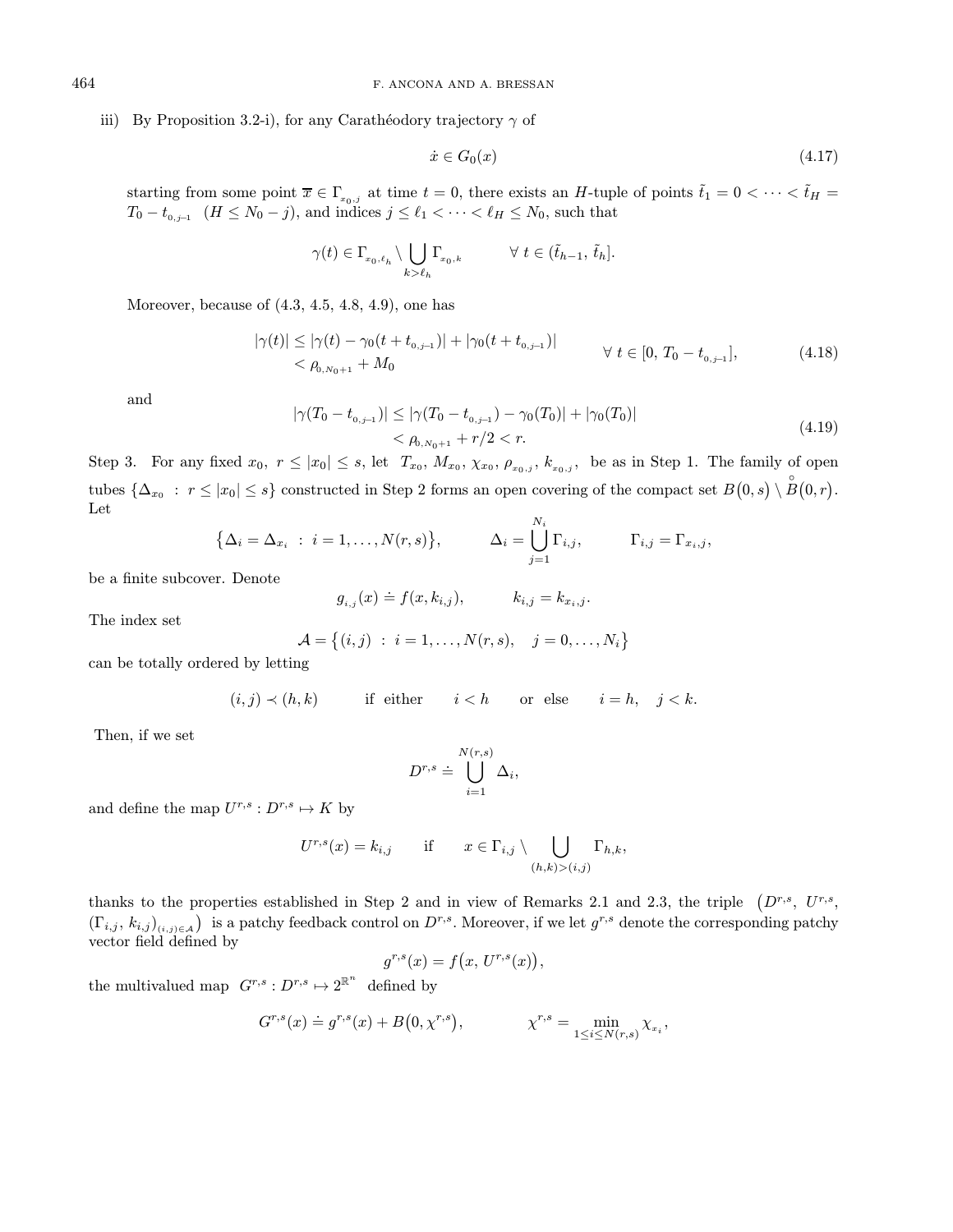# iii) By Proposition 3.2-i), for any Carathéodory trajectory  $\gamma$  of

$$
\dot{x} \in G_0(x) \tag{4.17}
$$

starting from some point  $\bar{x} \in \Gamma_{x_0,j}$  at time  $t = 0$ , there exists an H-tuple of points  $\tilde{t}_1 = 0 < \cdots < \tilde{t}_H =$  $T_0 - t_{0,j-1}$   $(H \leq N_0 - j)$ , and indices  $j \leq \ell_1 < \cdots < \ell_H \leq N_0$ , such that

$$
\gamma(t) \in \Gamma_{x_0,\ell_h} \setminus \bigcup_{k>\ell_h} \Gamma_{x_0,k} \qquad \forall \ t \in (\tilde{t}_{h-1},\ \tilde{t}_h].
$$

Moreover, because of (4.3, 4.5, 4.8, 4.9), one has

$$
|\gamma(t)| \le |\gamma(t) - \gamma_0(t + t_{0,j-1})| + |\gamma_0(t + t_{0,j-1})|
$$
  

$$
< \rho_{0,N_0+1} + M_0
$$
 (4.18)

and

$$
|\gamma(T_0 - t_{0,j-1})| \le |\gamma(T_0 - t_{0,j-1}) - \gamma_0(T_0)| + |\gamma_0(T_0)|
$$
  
<  $\rho_{0,N_0+1} + r/2 < r.$  (4.19)

Step 3. For any fixed  $x_0, r \leq |x_0| \leq s$ , let  $T_{x_0}, M_{x_0}, \chi_{x_0}, \rho_{x_0,j}, k_{x_0,j}$ , be as in Step 1. The family of open tubes  $\{\Delta_{x_0} : r \leq |x_0| \leq s\}$  constructed in Step 2 forms an open covering of the compact set  $B(0, s) \setminus \overset{\circ}{B}(0,r)$ . Let  $N_i$ 

$$
\big\{\Delta_i=\Delta_{x_i} \ : \ i=1,\ldots,N(r,s)\big\}, \qquad \Delta_i=\bigcup_{j=1}^{N_i}\Gamma_{i,j}, \qquad \Gamma_{i,j}=\Gamma_{x_i,j},
$$

be a finite subcover. Denote

$$
g_{i,j}(x) \doteq f(x, k_{i,j}),
$$
  $k_{i,j} = k_{x_i,j}.$ 

The index set

$$
\mathcal{A} = \{(i, j) : i = 1, ..., N(r, s), j = 0, ..., N_i\}
$$

can be totally ordered by letting

$$
(i,j) \prec (h,k) \qquad \text{if either} \qquad i < h \qquad \text{or else} \qquad i = h, \quad j < k.
$$

Then, if we set

$$
D^{r,s} \doteq \bigcup_{i=1}^{N(r,s)} \Delta_i,
$$

and define the map  $U^{r,s}: D^{r,s} \mapsto K$  by

$$
U^{r,s}(x) = k_{i,j} \quad \text{if} \quad x \in \Gamma_{i,j} \setminus \bigcup_{(h,k) > (i,j)} \Gamma_{h,k},
$$

thanks to the properties established in Step 2 and in view of Remarks 2.1 and 2.3, the triple  $(D^{r,s}, U^{r,s}, D^{r,s})$  $(\Gamma_{i,j}, k_{i,j})_{(i,j)\in\mathcal{A}}$  is a patchy feedback control on  $D^{r,s}$ . Moreover, if we let  $g^{r,s}$  denote the corresponding patchy vector field defined by

$$
g^{r,s}(x) = f(x, U^{r,s}(x)),
$$

the multivalued map  $G^{r,s}: D^{r,s} \mapsto 2^{\mathbb{R}^n}$  defined by

$$
G^{r,s}(x) \doteq g^{r,s}(x) + B(0, \chi^{r,s}), \qquad \chi^{r,s} = \min_{1 \le i \le N(r,s)} \chi_{x_i},
$$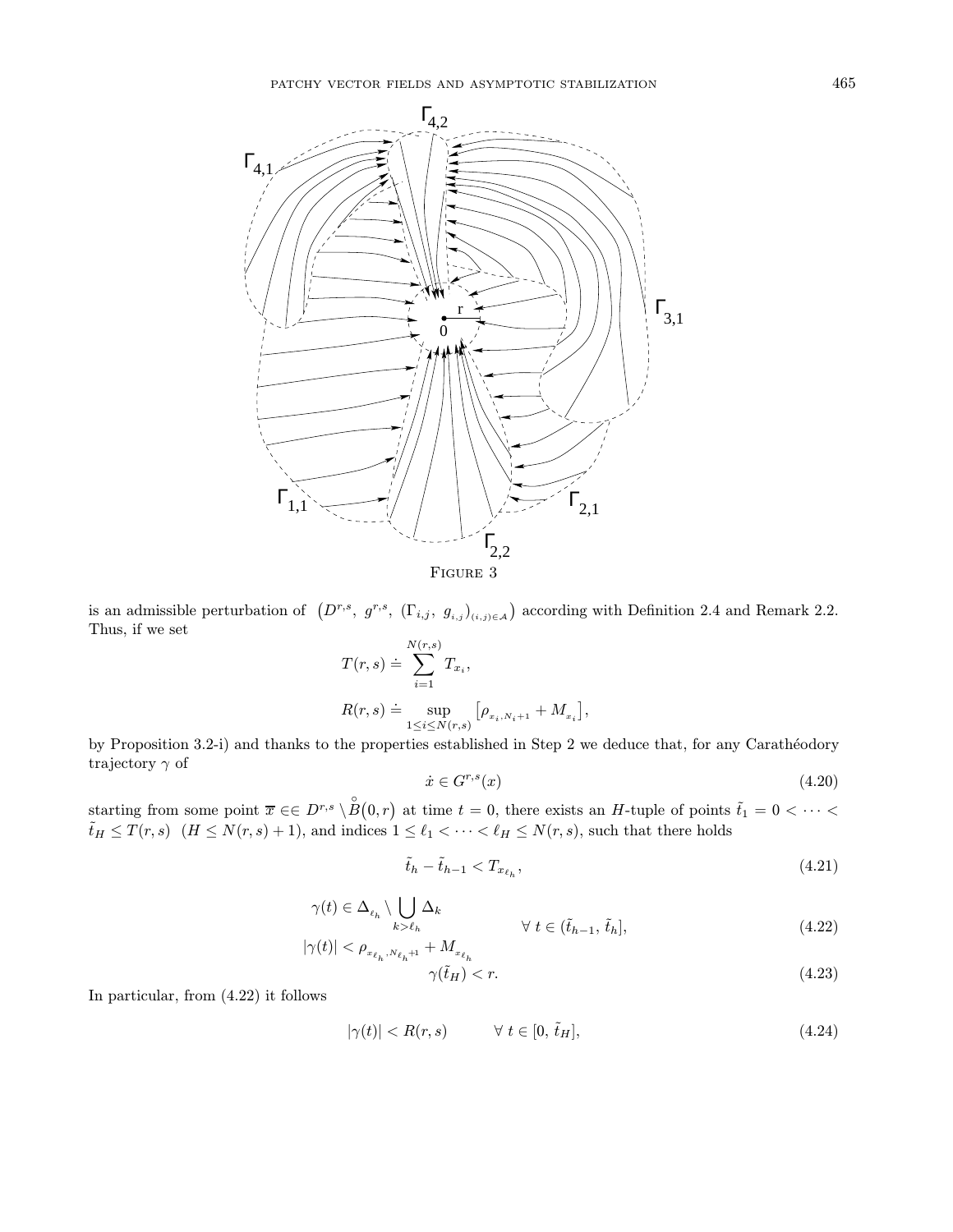

is an admissible perturbation of  $(D^{r,s}, g^{r,s}, (\Gamma_{i,j}, g_{i,j})_{(i,j)\in\mathcal{A}})$  according with Definition 2.4 and Remark 2.2. Thus, if we set

$$
T(r,s) \doteq \sum_{i=1}^{N(r,s)} T_{x_i},
$$
  
\n
$$
R(r,s) \doteq \sup_{1 \le i \le N(r,s)} [\rho_{x_i, N_{i+1}} + M_{x_i}],
$$

by Proposition 3.2-i) and thanks to the properties established in Step 2 we deduce that, for any Carathéodory trajectory  $\gamma$  of

$$
\dot{x} \in G^{r,s}(x) \tag{4.20}
$$

starting from some point  $\bar{x} \in \in D^{r,s} \setminus \overset{\circ}{B}(0,r)$  at time  $t = 0$ , there exists an H-tuple of points  $\tilde{t}_1 = 0 < \cdots <$  $\tilde{t}_H \leq T(r,s)$   $(H \leq N(r,s)+1)$ , and indices  $1 \leq \ell_1 < \cdots < \ell_H \leq N(r,s)$ , such that there holds

$$
\tilde{t}_h - \tilde{t}_{h-1} < T_{x_{\ell_h}},\tag{4.21}
$$

$$
\gamma(t) \in \Delta_{\ell_h} \setminus \bigcup_{k > \ell_h} \Delta_k
$$
  
\n
$$
|\gamma(t)| < \rho_{x_{\ell_h}, N_{\ell_h}+1} + M_{x_{\ell_h}} \qquad \forall \ t \in (\tilde{t}_{h-1}, \, \tilde{t}_h],
$$
\n
$$
(4.22)
$$

$$
\gamma(\tilde{t}_H) < r. \tag{4.23}
$$

In particular, from (4.22) it follows

$$
|\gamma(t)| < R(r, s) \qquad \forall \ t \in [0, \tilde{t}_H], \tag{4.24}
$$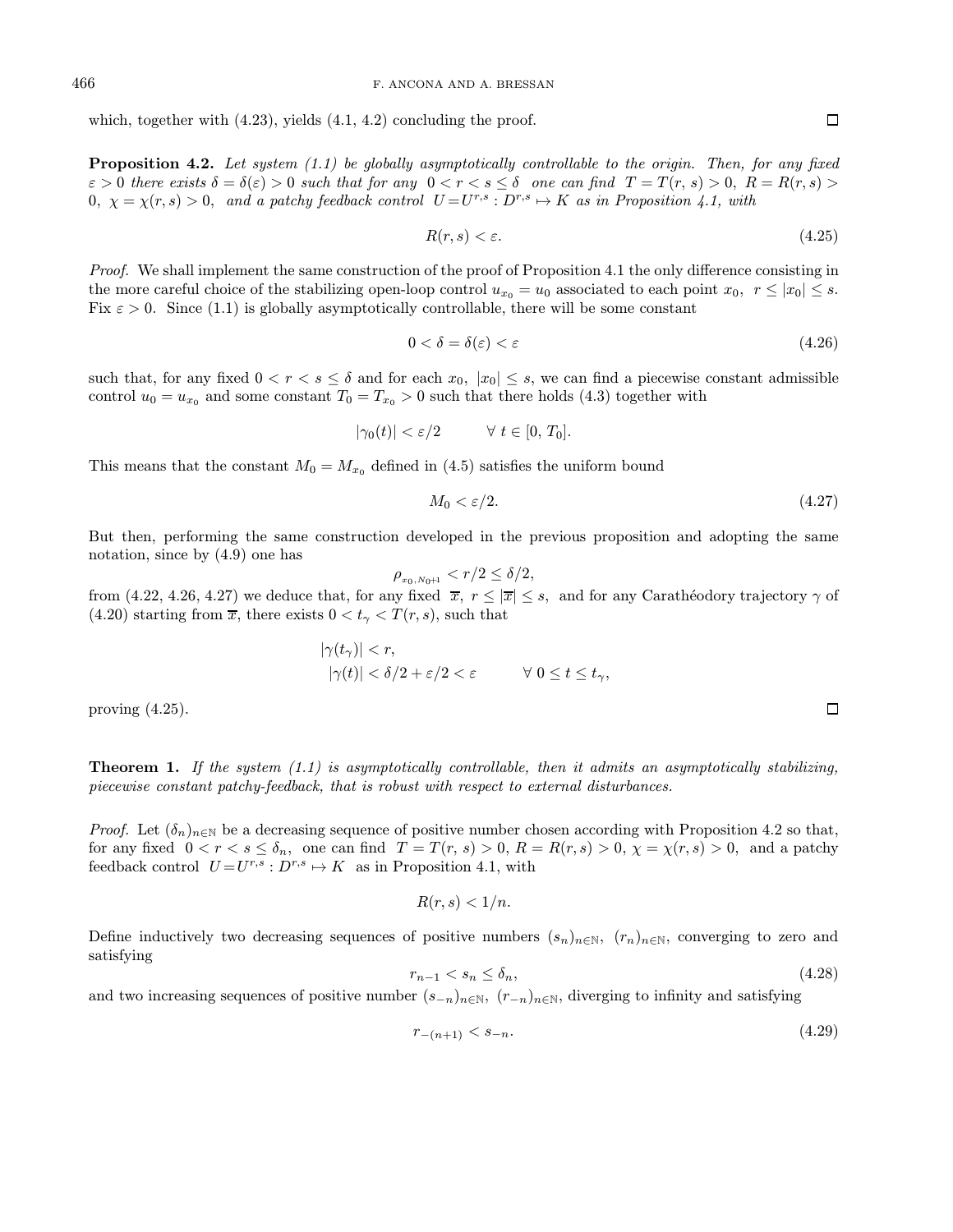which, together with  $(4.23)$ , yields  $(4.1, 4.2)$  concluding the proof.

**Proposition 4.2.** Let system  $(1.1)$  be globally asymptotically controllable to the origin. Then, for any fixed  $\varepsilon > 0$  there exists  $\delta = \delta(\varepsilon) > 0$  such that for any  $0 < r < s \leq \delta$  one can find  $T = T(r, s) > 0$ ,  $R = R(r, s) > 0$  $0, \chi = \chi(r, s) > 0$ , and a patchy feedback control  $U = U^{r,s} : D^{r,s} \to K$  as in Proposition 4.1, with

$$
R(r,s) < \varepsilon. \tag{4.25}
$$

Proof. We shall implement the same construction of the proof of Proposition 4.1 the only difference consisting in the more careful choice of the stabilizing open-loop control  $u_{x_0} = u_0$  associated to each point  $x_0, r \leq |x_0| \leq s$ . Fix  $\varepsilon > 0$ . Since (1.1) is globally asymptotically controllable, there will be some constant

$$
0 < \delta = \delta(\varepsilon) < \varepsilon \tag{4.26}
$$

such that, for any fixed  $0 < r < s \leq \delta$  and for each  $x_0$ ,  $|x_0| \leq s$ , we can find a piecewise constant admissible control  $u_0 = u_{x_0}$  and some constant  $T_0 = T_{x_0} > 0$  such that there holds (4.3) together with

$$
|\gamma_0(t)| < \varepsilon/2 \qquad \forall \ t \in [0, T_0].
$$

This means that the constant  $M_0 = M_{x_0}$  defined in (4.5) satisfies the uniform bound

$$
M_0 < \varepsilon/2. \tag{4.27}
$$

But then, performing the same construction developed in the previous proposition and adopting the same notation, since by (4.9) one has

$$
\rho_{x_0, N_0+1} < r/2 \le \delta/2,
$$

from (4.22, 4.26, 4.27) we deduce that, for any fixed  $\bar{x}$ ,  $r \leq |\bar{x}| \leq s$ , and for any Carathéodory trajectory  $\gamma$  of (4.20) starting from  $\overline{x}$ , there exists  $0 < t_{\gamma} < T(r, s)$ , such that

$$
|\gamma(t_{\gamma})| < r,
$$
  
 
$$
|\gamma(t)| < \delta/2 + \varepsilon/2 < \varepsilon \qquad \forall \ 0 \le t \le t_{\gamma},
$$

proving (4.25).

**Theorem 1.** If the system  $(1.1)$  is asymptotically controllable, then it admits an asymptotically stabilizing, piecewise constant patchy-feedback, that is robust with respect to external disturbances.

*Proof.* Let  $(\delta_n)_{n\in\mathbb{N}}$  be a decreasing sequence of positive number chosen according with Proposition 4.2 so that, for any fixed  $0 < r < s \le \delta_n$ , one can find  $T = T(r, s) > 0$ ,  $R = R(r, s) > 0$ ,  $\chi = \chi(r, s) > 0$ , and a patchy feedback control  $U = U^{r,s}: D^{r,s} \mapsto K$  as in Proposition 4.1, with

$$
R(r,s) < 1/n.
$$

Define inductively two decreasing sequences of positive numbers  $(s_n)_{n\in\mathbb{N}}$ ,  $(r_n)_{n\in\mathbb{N}}$ , converging to zero and satisfying

$$
r_{n-1} < s_n \le \delta_n,\tag{4.28}
$$

and two increasing sequences of positive number  $(s_{-n})_{n\in\mathbb{N}}$ ,  $(r_{-n})_{n\in\mathbb{N}}$ , diverging to infinity and satisfying

$$
r_{-(n+1)} < s_{-n}.\tag{4.29}
$$

 $\Box$ 

 $\Box$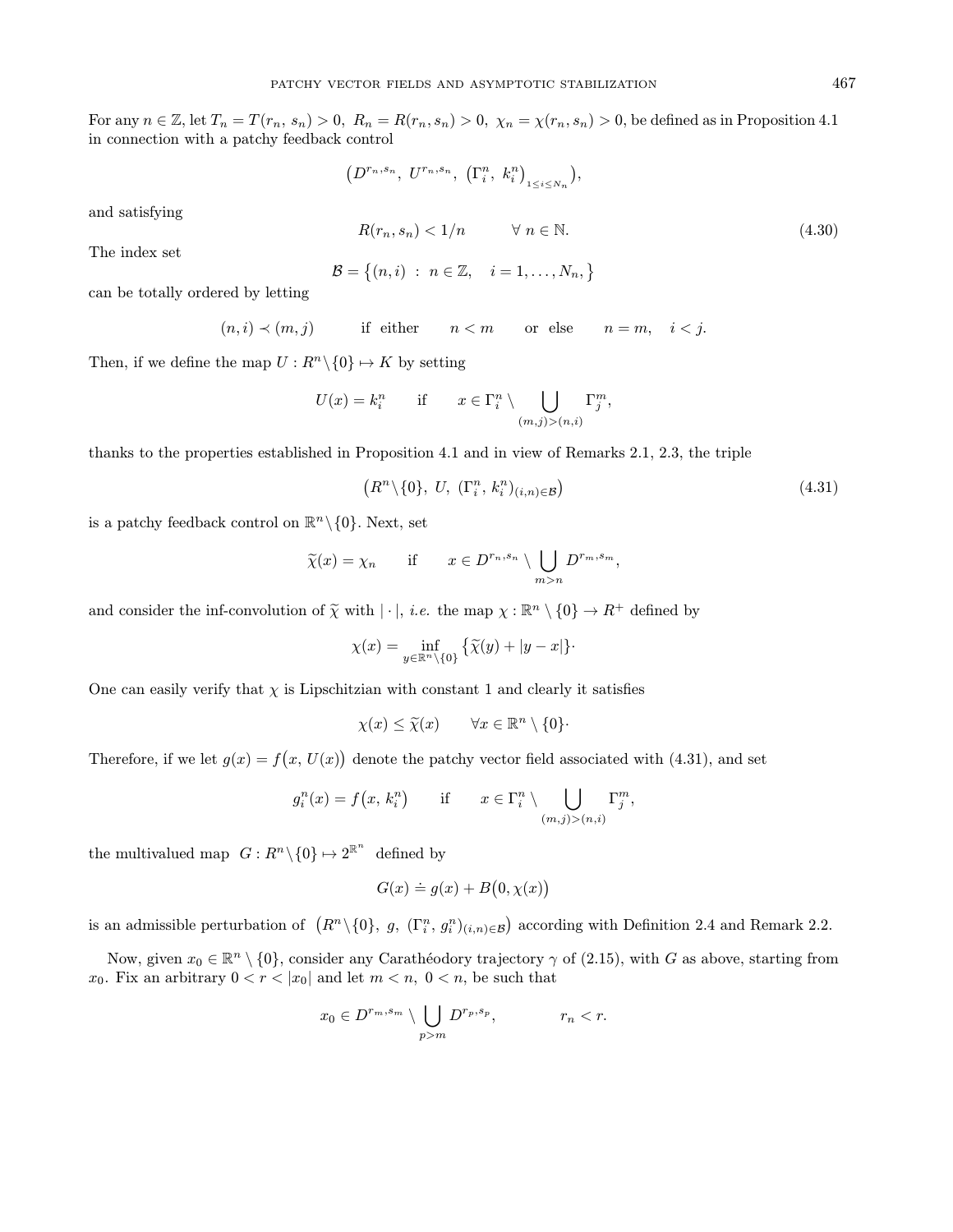For any  $n \in \mathbb{Z}$ , let  $T_n = T(r_n, s_n) > 0$ ,  $R_n = R(r_n, s_n) > 0$ ,  $\chi_n = \chi(r_n, s_n) > 0$ , be defined as in Proposition 4.1 in connection with a patchy feedback control

$$
\left(D^{r_n,s_n},\;U^{r_n,s_n},\;\left(\Gamma_i^n,\;k_i^n\right)_{1\leq i\leq N_n}\right),
$$

and satisfying

$$
R(r_n, s_n) < 1/n \qquad \forall \ n \in \mathbb{N}.\tag{4.30}
$$

The index set

$$
\mathcal{B} = \{(n,i) \; : \; n \in \mathbb{Z}, \quad i = 1,\ldots,N_n, \}
$$

can be totally ordered by letting

 $(n, i) \prec (m, j)$  if either  $n < m$  or else  $n = m, i < j$ .

Then, if we define the map  $U: R^n \backslash \{0\} \mapsto K$  by setting

$$
U(x) = k_i^n \quad \text{if} \quad x \in \Gamma_i^n \setminus \bigcup_{(m,j) > (n,i)} \Gamma_j^m,
$$

thanks to the properties established in Proposition 4.1 and in view of Remarks 2.1, 2.3, the triple

$$
(Rn \setminus \{0\}, U, (\Gamma_i^n, k_i^n)_{(i,n) \in \mathcal{B}})
$$
\n
$$
(4.31)
$$

is a patchy feedback control on  $\mathbb{R}^n \setminus \{0\}$ . Next, set

$$
\widetilde{\chi}(x) = \chi_n \quad \text{if} \quad x \in D^{r_n, s_n} \setminus \bigcup_{m > n} D^{r_m, s_m},
$$

and consider the inf-convolution of  $\tilde{\chi}$  with  $|\cdot|$ , *i.e.* the map  $\chi : \mathbb{R}^n \setminus \{0\} \to R^+$  defined by

$$
\chi(x) = \inf_{y \in \mathbb{R}^n \setminus \{0\}} \left\{ \widetilde{\chi}(y) + |y - x| \right\}.
$$

One can easily verify that  $\chi$  is Lipschitzian with constant 1 and clearly it satisfies

 $\chi(x) \leq \widetilde{\chi}(x) \qquad \forall x \in \mathbb{R}^n \setminus \{0\}.$ 

Therefore, if we let  $g(x) = f(x, U(x))$  denote the patchy vector field associated with (4.31), and set

$$
g_i^n(x) = f(x, k_i^n) \quad \text{if} \quad x \in \Gamma_i^n \setminus \bigcup_{(m,j) > (n,i)} \Gamma_j^m,
$$

the multivalued map  $G: R^n \setminus \{0\} \mapsto 2^{\mathbb{R}^n}$  defined by

$$
G(x) \doteq g(x) + B(0, \chi(x))
$$

is an admissible perturbation of  $(R^n \setminus \{0\}, g, (\Gamma_i^n, g_i^n)_{(i,n)\in \mathcal{B}})$  according with Definition 2.4 and Remark 2.2.

Now, given  $x_0 \in \mathbb{R}^n \setminus \{0\}$ , consider any Carathéodory trajectory  $\gamma$  of (2.15), with G as above, starting from  $x_0$ . Fix an arbitrary  $0 < r < |x_0|$  and let  $m < n$ ,  $0 < n$ , be such that

$$
x_0 \in D^{r_m, s_m} \setminus \bigcup_{p>m} D^{r_p, s_p}, \qquad \qquad r_n < r.
$$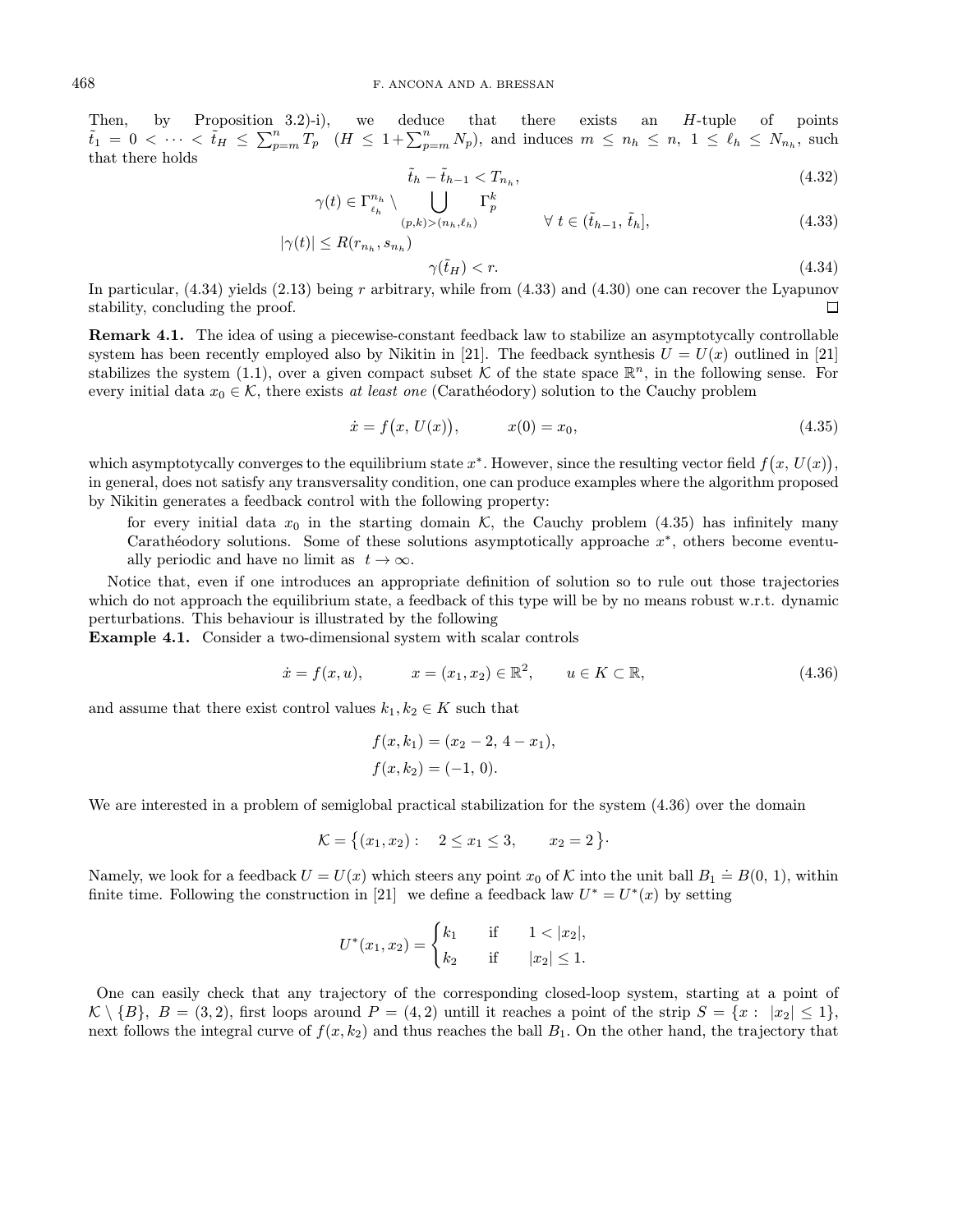Then, by Proposition 3.2)-i), we deduce that there exists an H-tuple of points  $\tilde{t}_1 = 0 \leq \cdots \leq \tilde{t}_H \leq \sum_{p=m}^n T_p \quad (H \leq 1 + \sum_{p=m}^n N_p)$ , and induces  $m \leq n_h \leq n, 1 \leq \ell_h \leq N_{n_h}$ , such that there holds

$$
\tilde{t}_h - \tilde{t}_{h-1} < T_{n_h},\tag{4.32}
$$

$$
\gamma(t) \in \Gamma_{\ell_h}^{n_h} \setminus \bigcup_{(p,k) > (n_h, \ell_h)} \Gamma_p^k \qquad \forall \ t \in (\tilde{t}_{h-1}, \, \tilde{t}_h],
$$
\n
$$
|\gamma(t)| \le R(r_{n_h}, s_{n_h}) \qquad \forall \ t \in (\tilde{t}_{h-1}, \, \tilde{t}_h],
$$
\n
$$
(4.33)
$$

$$
\leq R(r_{n_h}, s_{n_h})\tag{1.3.1}
$$

$$
\gamma(\tilde{t}_H) < r. \tag{4.34}
$$

In particular,  $(4.34)$  yields  $(2.13)$  being r arbitrary, while from  $(4.33)$  and  $(4.30)$  one can recover the Lyapunov stability, concluding the proof.  $\Box$ 

Remark 4.1. The idea of using a piecewise-constant feedback law to stabilize an asymptotycally controllable system has been recently employed also by Nikitin in [21]. The feedback synthesis  $U = U(x)$  outlined in [21] stabilizes the system (1.1), over a given compact subset K of the state space  $\mathbb{R}^n$ , in the following sense. For every initial data  $x_0 \in \mathcal{K}$ , there exists at least one (Carathéodory) solution to the Cauchy problem

$$
\dot{x} = f(x, U(x)), \qquad x(0) = x_0,\tag{4.35}
$$

which asymptotycally converges to the equilibrium state  $x^*$ . However, since the resulting vector field  $f(x, U(x))$ , in general, does not satisfy any transversality condition, one can produce examples where the algorithm proposed by Nikitin generates a feedback control with the following property:

for every initial data  $x_0$  in the starting domain K, the Cauchy problem (4.35) has infinitely many Carathéodory solutions. Some of these solutions asymptotically approache  $x^*$ , others become eventually periodic and have no limit as  $t \to \infty$ .

Notice that, even if one introduces an appropriate definition of solution so to rule out those trajectories which do not approach the equilibrium state, a feedback of this type will be by no means robust w.r.t. dynamic perturbations. This behaviour is illustrated by the following

Example 4.1. Consider a two-dimensional system with scalar controls

$$
\dot{x} = f(x, u), \qquad x = (x_1, x_2) \in \mathbb{R}^2, \qquad u \in K \subset \mathbb{R},
$$
\n(4.36)

and assume that there exist control values  $k_1, k_2 \in K$  such that

$$
f(x, k_1) = (x_2 - 2, 4 - x_1),
$$
  

$$
f(x, k_2) = (-1, 0).
$$

We are interested in a problem of semiglobal practical stabilization for the system  $(4.36)$  over the domain

$$
\mathcal{K} = \{(x_1, x_2): 2 \le x_1 \le 3, x_2 = 2\}.
$$

Namely, we look for a feedback  $U = U(x)$  which steers any point  $x_0$  of K into the unit ball  $B_1 \doteq B(0, 1)$ , within finite time. Following the construction in [21] we define a feedback law  $U^* = U^*(x)$  by setting

$$
U^*(x_1, x_2) = \begin{cases} k_1 & \text{if } 1 < |x_2|, \\ k_2 & \text{if } |x_2| \le 1. \end{cases}
$$

One can easily check that any trajectory of the corresponding closed-loop system, starting at a point of  $\mathcal{K}\setminus\{B\},\ B=(3,2),$  first loops around  $P=(4,2)$  untill it reaches a point of the strip  $S=\{x:\ |x_2|\leq 1\},$ next follows the integral curve of  $f(x, k_2)$  and thus reaches the ball  $B_1$ . On the other hand, the trajectory that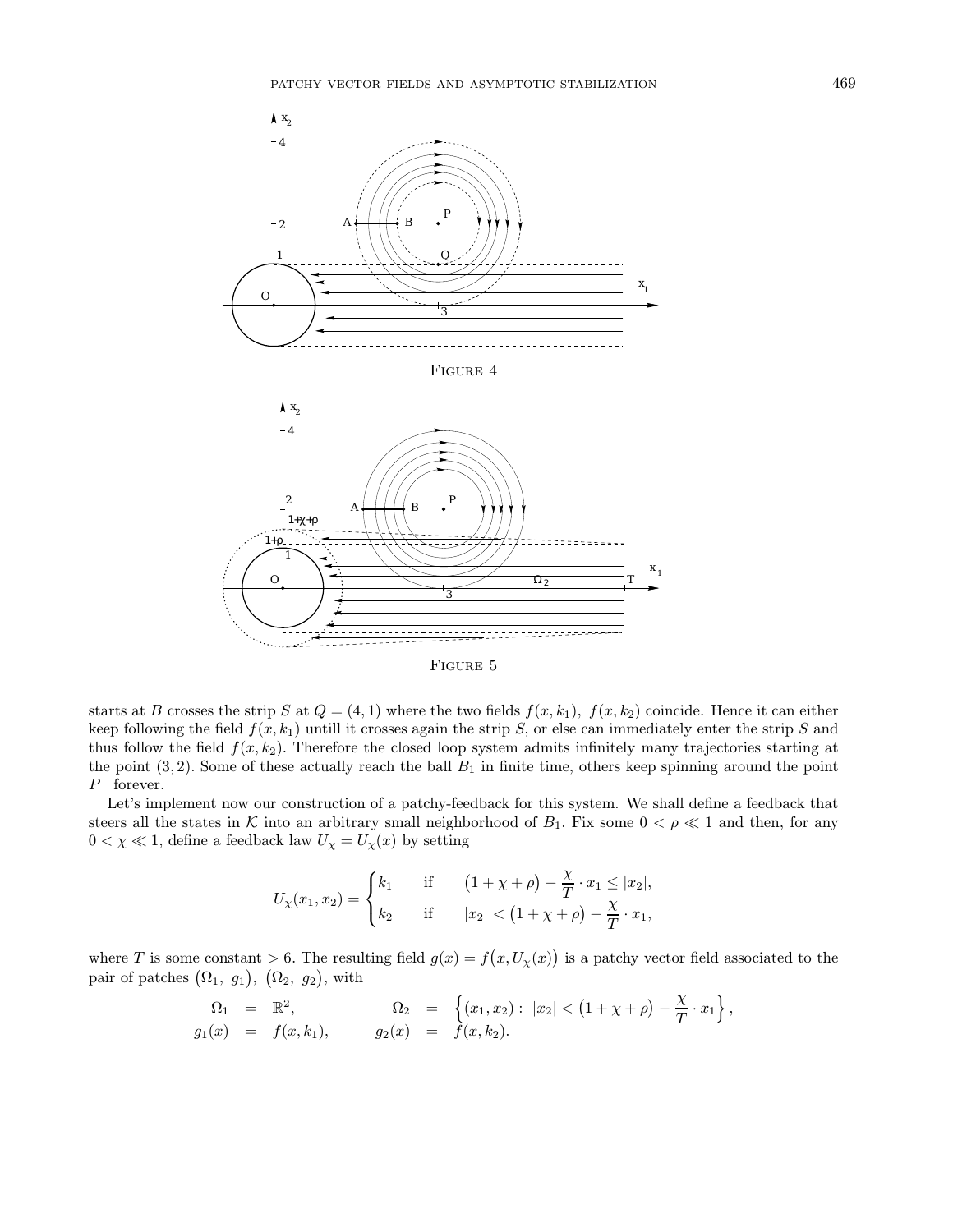

Figure 5

starts at B crosses the strip S at  $Q = (4, 1)$  where the two fields  $f(x, k_1)$ ,  $f(x, k_2)$  coincide. Hence it can either keep following the field  $f(x, k_1)$  untill it crosses again the strip S, or else can immediately enter the strip S and thus follow the field  $f(x, k_2)$ . Therefore the closed loop system admits infinitely many trajectories starting at the point  $(3, 2)$ . Some of these actually reach the ball  $B_1$  in finite time, others keep spinning around the point P forever.

Let's implement now our construction of a patchy-feedback for this system. We shall define a feedback that steers all the states in K into an arbitrary small neighborhood of  $B_1$ . Fix some  $0 < \rho \ll 1$  and then, for any  $0<\chi\ll1,$  define a feedback law  $U_\chi=U_\chi(x)$  by setting

$$
U_{\chi}(x_1, x_2) = \begin{cases} k_1 & \text{if } & (1 + \chi + \rho) - \frac{\chi}{T} \cdot x_1 \leq |x_2|, \\ k_2 & \text{if } & |x_2| < (1 + \chi + \rho) - \frac{\chi}{T} \cdot x_1, \end{cases}
$$

where T is some constant  $> 6$ . The resulting field  $g(x) = f(x, U_x(x))$  is a patchy vector field associated to the pair of patches  $(\Omega_1, g_1), (\Omega_2, g_2),$  with

$$
\Omega_1 = \mathbb{R}^2, \qquad \Omega_2 = \left\{ (x_1, x_2) : |x_2| < (1 + \chi + \rho) - \frac{\chi}{T} \cdot x_1 \right\}, g_1(x) = f(x, k_1), \qquad g_2(x) = f(x, k_2).
$$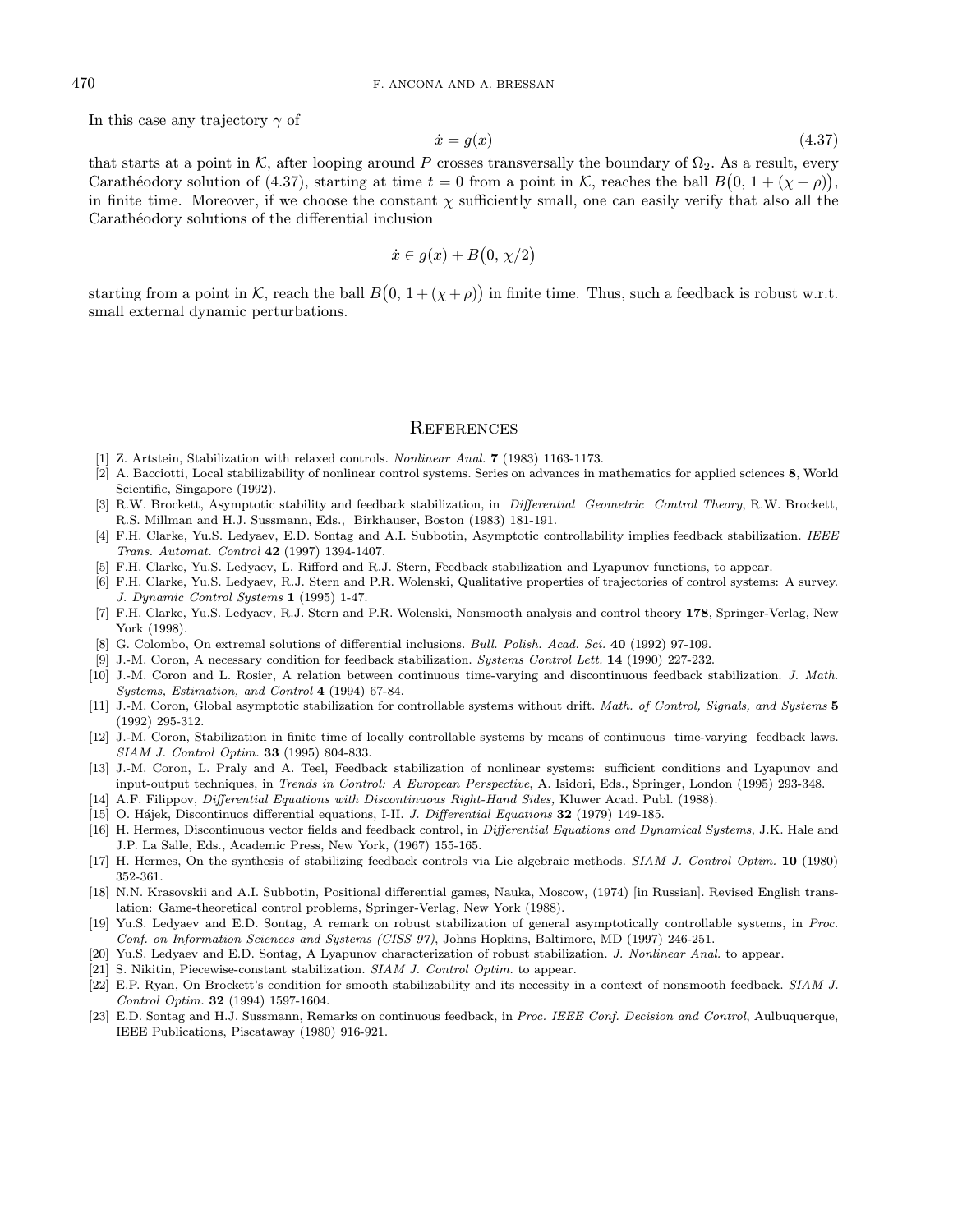In this case any trajectory  $\gamma$  of

$$
\dot{x} = g(x) \tag{4.37}
$$

that starts at a point in K, after looping around P crosses transversally the boundary of  $\Omega_2$ . As a result, every Carathéodory solution of (4.37), starting at time  $t = 0$  from a point in K, reaches the ball  $B(0, 1 + (\chi + \rho))$ , in finite time. Moreover, if we choose the constant  $\chi$  sufficiently small, one can easily verify that also all the Carathéodory solutions of the differential inclusion

$$
\dot{x} \in g(x) + B(0, \chi/2)
$$

starting from a point in K, reach the ball  $B(0, 1 + (\chi + \rho))$  in finite time. Thus, such a feedback is robust w.r.t. small external dynamic perturbations.

#### **REFERENCES**

- [1] Z. Artstein, Stabilization with relaxed controls. Nonlinear Anal. 7 (1983) 1163-1173.
- [2] A. Bacciotti, Local stabilizability of nonlinear control systems. Series on advances in mathematics for applied sciences 8, World Scientific, Singapore (1992).
- [3] R.W. Brockett, Asymptotic stability and feedback stabilization, in *Differential Geometric Control Theory*, R.W. Brockett, R.S. Millman and H.J. Sussmann, Eds., Birkhauser, Boston (1983) 181-191.
- [4] F.H. Clarke, Yu.S. Ledyaev, E.D. Sontag and A.I. Subbotin, Asymptotic controllability implies feedback stabilization. IEEE Trans. Automat. Control 42 (1997) 1394-1407.
- [5] F.H. Clarke, Yu.S. Ledyaev, L. Rifford and R.J. Stern, Feedback stabilization and Lyapunov functions, to appear.
- [6] F.H. Clarke, Yu.S. Ledyaev, R.J. Stern and P.R. Wolenski, Qualitative properties of trajectories of control systems: A survey. J. Dynamic Control Systems 1 (1995) 1-47.
- [7] F.H. Clarke, Yu.S. Ledyaev, R.J. Stern and P.R. Wolenski, Nonsmooth analysis and control theory 178, Springer-Verlag, New York (1998).
- [8] G. Colombo, On extremal solutions of differential inclusions. Bull. Polish. Acad. Sci. 40 (1992) 97-109.
- [9] J.-M. Coron, A necessary condition for feedback stabilization. Systems Control Lett. 14 (1990) 227-232.
- [10] J.-M. Coron and L. Rosier, A relation between continuous time-varying and discontinuous feedback stabilization. J. Math. Systems, Estimation, and Control 4 (1994) 67-84.
- [11] J.-M. Coron, Global asymptotic stabilization for controllable systems without drift. Math. of Control, Signals, and Systems 5 (1992) 295-312.
- [12] J.-M. Coron, Stabilization in finite time of locally controllable systems by means of continuous time-varying feedback laws. SIAM J. Control Optim. 33 (1995) 804-833.
- [13] J.-M. Coron, L. Praly and A. Teel, Feedback stabilization of nonlinear systems: sufficient conditions and Lyapunov and input-output techniques, in Trends in Control: A European Perspective, A. Isidori, Eds., Springer, London (1995) 293-348.
- [14] A.F. Filippov, Differential Equations with Discontinuous Right-Hand Sides, Kluwer Acad. Publ. (1988).
- [15] O. Hájek, Discontinuos differential equations, I-II. J. Differential Equations 32 (1979) 149-185.
- [16] H. Hermes, Discontinuous vector fields and feedback control, in Differential Equations and Dynamical Systems, J.K. Hale and J.P. La Salle, Eds., Academic Press, New York, (1967) 155-165.
- [17] H. Hermes, On the synthesis of stabilizing feedback controls via Lie algebraic methods. SIAM J. Control Optim. 10 (1980) 352-361.
- [18] N.N. Krasovskii and A.I. Subbotin, Positional differential games, Nauka, Moscow, (1974) [in Russian]. Revised English translation: Game-theoretical control problems, Springer-Verlag, New York (1988).
- [19] Yu.S. Ledyaev and E.D. Sontag, A remark on robust stabilization of general asymptotically controllable systems, in Proc. Conf. on Information Sciences and Systems (CISS 97), Johns Hopkins, Baltimore, MD (1997) 246-251.
- [20] Yu.S. Ledyaev and E.D. Sontag, A Lyapunov characterization of robust stabilization. J. Nonlinear Anal. to appear.
- [21] S. Nikitin, Piecewise-constant stabilization. SIAM J. Control Optim. to appear.
- [22] E.P. Ryan, On Brockett's condition for smooth stabilizability and its necessity in a context of nonsmooth feedback. SIAM J. Control Optim. 32 (1994) 1597-1604.
- [23] E.D. Sontag and H.J. Sussmann, Remarks on continuous feedback, in Proc. IEEE Conf. Decision and Control, Aulbuquerque, IEEE Publications, Piscataway (1980) 916-921.